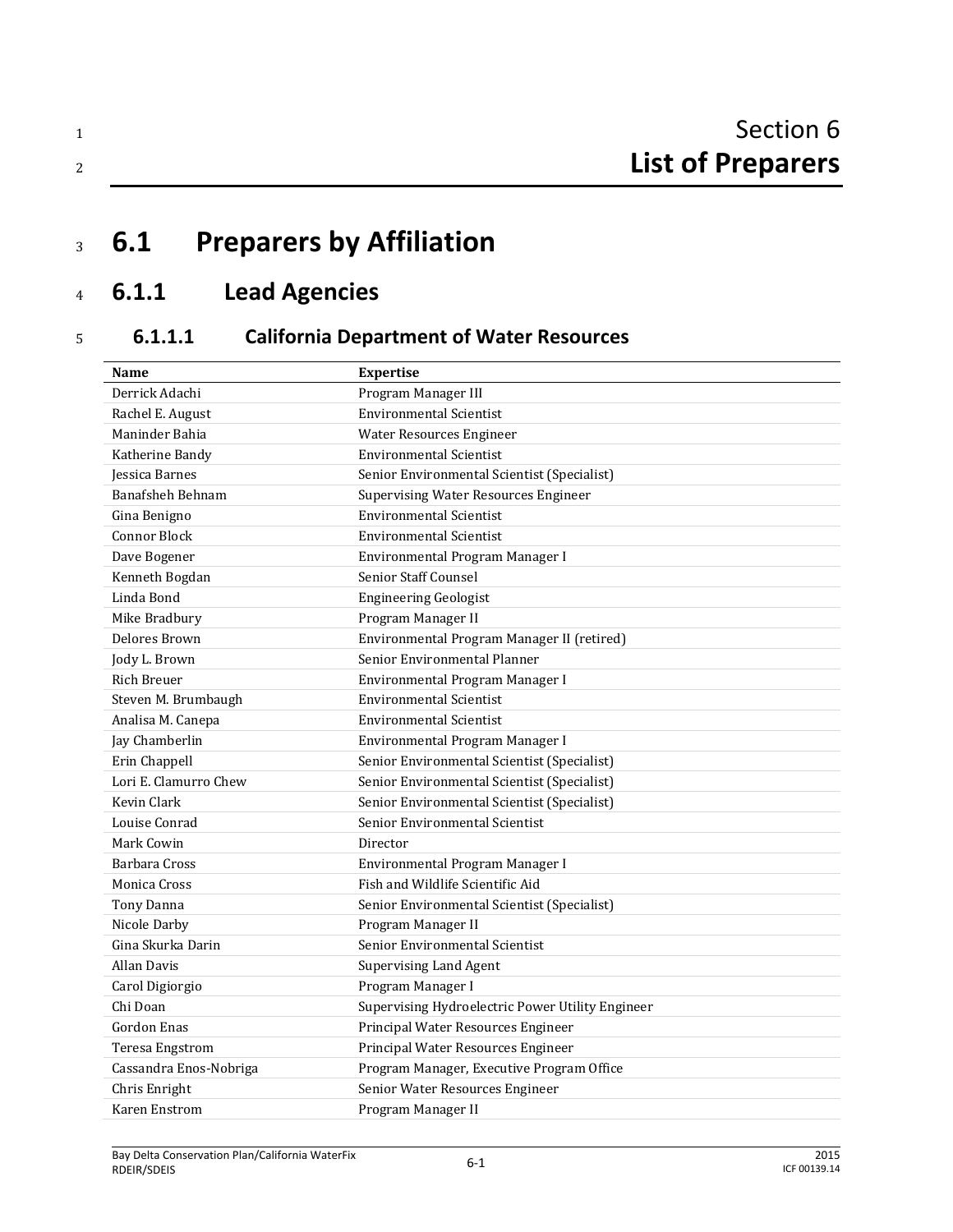# <sup>3</sup> **6.1 Preparers by Affiliation**

# <sup>4</sup> **6.1.1 Lead Agencies**

# <sup>5</sup> **6.1.1.1 California Department of Water Resources**

| Name                   | <b>Expertise</b>                                 |  |
|------------------------|--------------------------------------------------|--|
| Derrick Adachi         | Program Manager III                              |  |
| Rachel E. August       | <b>Environmental Scientist</b>                   |  |
| Maninder Bahia         | <b>Water Resources Engineer</b>                  |  |
| Katherine Bandy        | <b>Environmental Scientist</b>                   |  |
| Jessica Barnes         | Senior Environmental Scientist (Specialist)      |  |
| Banafsheh Behnam       | <b>Supervising Water Resources Engineer</b>      |  |
| Gina Benigno           | <b>Environmental Scientist</b>                   |  |
| <b>Connor Block</b>    | <b>Environmental Scientist</b>                   |  |
| Dave Bogener           | Environmental Program Manager I                  |  |
| Kenneth Bogdan         | Senior Staff Counsel                             |  |
| Linda Bond             | <b>Engineering Geologist</b>                     |  |
| Mike Bradbury          | Program Manager II                               |  |
| Delores Brown          | Environmental Program Manager II (retired)       |  |
| Jody L. Brown          | Senior Environmental Planner                     |  |
| <b>Rich Breuer</b>     | Environmental Program Manager I                  |  |
| Steven M. Brumbaugh    | <b>Environmental Scientist</b>                   |  |
| Analisa M. Canepa      | <b>Environmental Scientist</b>                   |  |
| Jay Chamberlin         | Environmental Program Manager I                  |  |
| Erin Chappell          | Senior Environmental Scientist (Specialist)      |  |
| Lori E. Clamurro Chew  | Senior Environmental Scientist (Specialist)      |  |
| Kevin Clark            | Senior Environmental Scientist (Specialist)      |  |
| Louise Conrad          | Senior Environmental Scientist                   |  |
| Mark Cowin             | Director                                         |  |
| Barbara Cross          | Environmental Program Manager I                  |  |
| Monica Cross           | Fish and Wildlife Scientific Aid                 |  |
| Tony Danna             | Senior Environmental Scientist (Specialist)      |  |
| Nicole Darby           | Program Manager II                               |  |
| Gina Skurka Darin      | Senior Environmental Scientist                   |  |
| Allan Davis            | <b>Supervising Land Agent</b>                    |  |
| Carol Digiorgio        | Program Manager I                                |  |
| Chi Doan               | Supervising Hydroelectric Power Utility Engineer |  |
| Gordon Enas            | Principal Water Resources Engineer               |  |
| Teresa Engstrom        | Principal Water Resources Engineer               |  |
| Cassandra Enos-Nobriga | Program Manager, Executive Program Office        |  |
| Chris Enright          | Senior Water Resources Engineer                  |  |
| Karen Enstrom          | Program Manager II                               |  |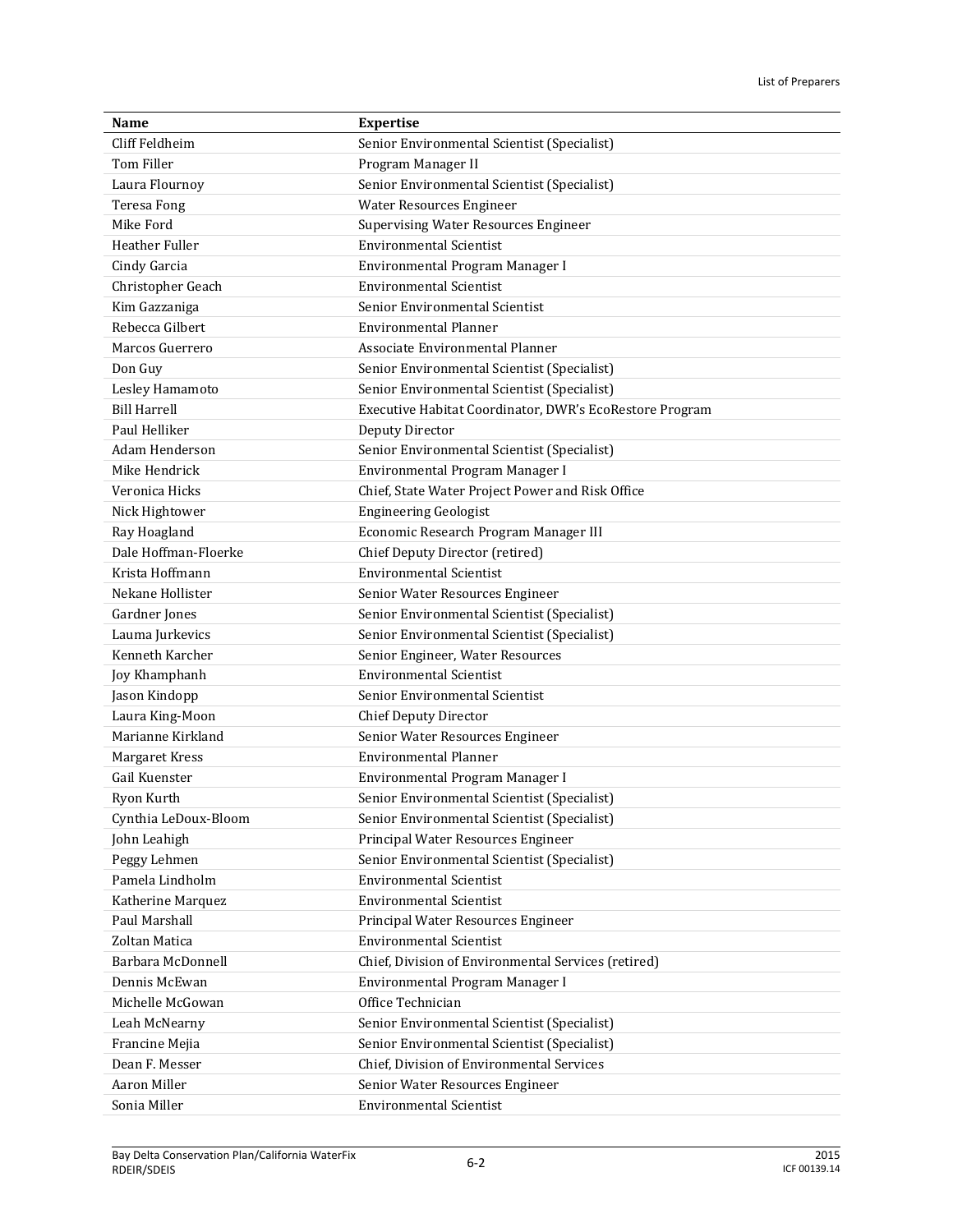| Name                  | <b>Expertise</b>                                        |  |
|-----------------------|---------------------------------------------------------|--|
| Cliff Feldheim        | Senior Environmental Scientist (Specialist)             |  |
| Tom Filler            | Program Manager II                                      |  |
| Laura Flournoy        | Senior Environmental Scientist (Specialist)             |  |
| <b>Teresa Fong</b>    | Water Resources Engineer                                |  |
| Mike Ford             | <b>Supervising Water Resources Engineer</b>             |  |
| <b>Heather Fuller</b> | <b>Environmental Scientist</b>                          |  |
| Cindy Garcia          | Environmental Program Manager I                         |  |
| Christopher Geach     | <b>Environmental Scientist</b>                          |  |
| Kim Gazzaniga         | Senior Environmental Scientist                          |  |
| Rebecca Gilbert       | <b>Environmental Planner</b>                            |  |
| Marcos Guerrero       | Associate Environmental Planner                         |  |
| Don Guy               | Senior Environmental Scientist (Specialist)             |  |
| Lesley Hamamoto       | Senior Environmental Scientist (Specialist)             |  |
| <b>Bill Harrell</b>   | Executive Habitat Coordinator, DWR's EcoRestore Program |  |
| Paul Helliker         | Deputy Director                                         |  |
| Adam Henderson        | Senior Environmental Scientist (Specialist)             |  |
| Mike Hendrick         | Environmental Program Manager I                         |  |
| Veronica Hicks        | Chief, State Water Project Power and Risk Office        |  |
| Nick Hightower        | <b>Engineering Geologist</b>                            |  |
| Ray Hoagland          | Economic Research Program Manager III                   |  |
| Dale Hoffman-Floerke  | Chief Deputy Director (retired)                         |  |
| Krista Hoffmann       | <b>Environmental Scientist</b>                          |  |
| Nekane Hollister      | Senior Water Resources Engineer                         |  |
| Gardner Jones         | Senior Environmental Scientist (Specialist)             |  |
| Lauma Jurkevics       | Senior Environmental Scientist (Specialist)             |  |
| Kenneth Karcher       | Senior Engineer, Water Resources                        |  |
| Joy Khamphanh         | <b>Environmental Scientist</b>                          |  |
| Jason Kindopp         | Senior Environmental Scientist                          |  |
| Laura King-Moon       | Chief Deputy Director                                   |  |
| Marianne Kirkland     | Senior Water Resources Engineer                         |  |
| Margaret Kress        | <b>Environmental Planner</b>                            |  |
| Gail Kuenster         | Environmental Program Manager I                         |  |
| Ryon Kurth            | Senior Environmental Scientist (Specialist)             |  |
| Cynthia LeDoux-Bloom  | Senior Environmental Scientist (Specialist)             |  |
| John Leahigh          | Principal Water Resources Engineer                      |  |
| Peggy Lehmen          | Senior Environmental Scientist (Specialist)             |  |
| Pamela Lindholm       | <b>Environmental Scientist</b>                          |  |
| Katherine Marquez     | <b>Environmental Scientist</b>                          |  |
| Paul Marshall         | Principal Water Resources Engineer                      |  |
| Zoltan Matica         | <b>Environmental Scientist</b>                          |  |
| Barbara McDonnell     | Chief, Division of Environmental Services (retired)     |  |
| Dennis McEwan         | Environmental Program Manager I                         |  |
| Michelle McGowan      | Office Technician                                       |  |
| Leah McNearny         | Senior Environmental Scientist (Specialist)             |  |
| Francine Mejia        | Senior Environmental Scientist (Specialist)             |  |
| Dean F. Messer        | Chief, Division of Environmental Services               |  |
| Aaron Miller          | Senior Water Resources Engineer                         |  |
| Sonia Miller          | <b>Environmental Scientist</b>                          |  |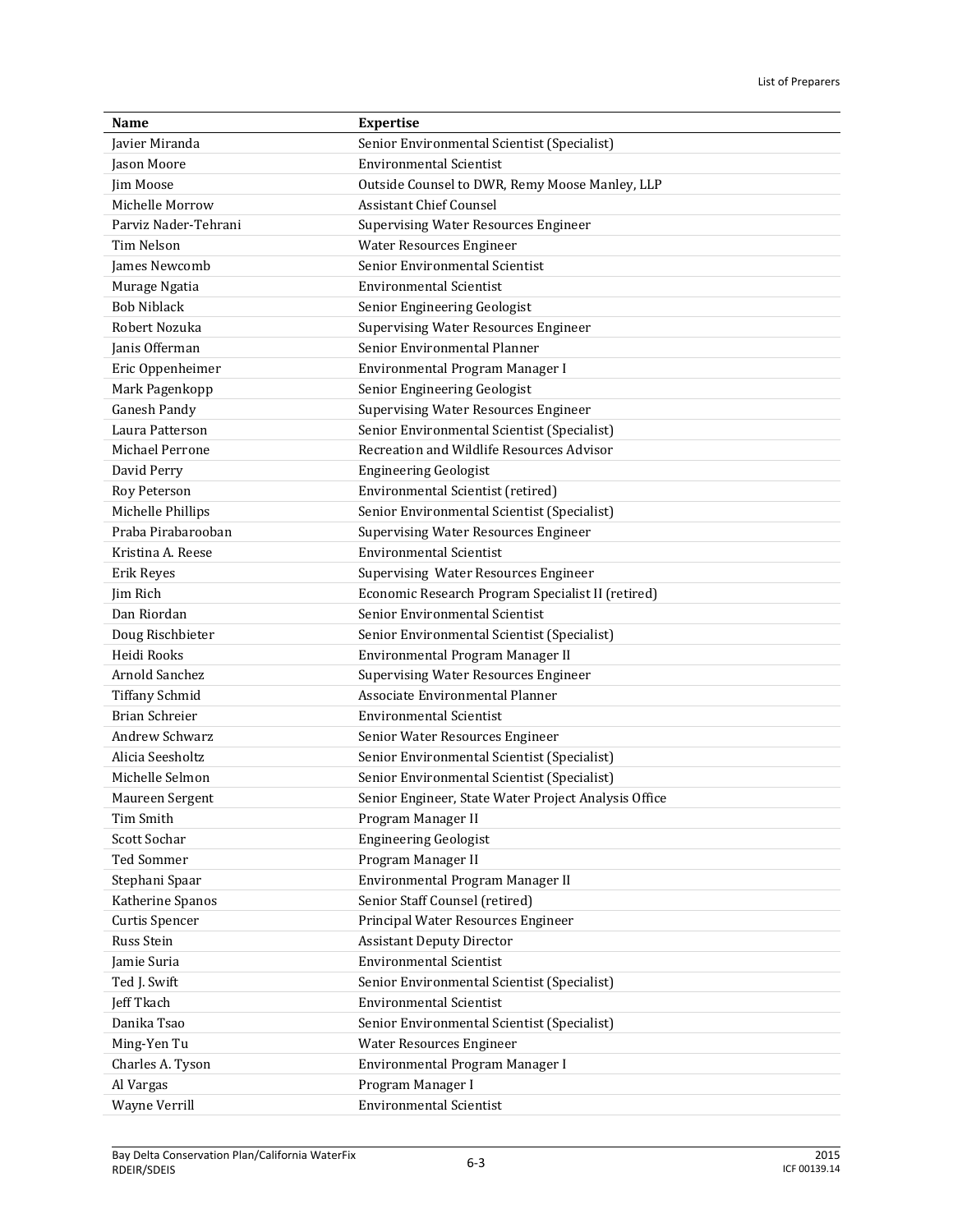| Name                  | <b>Expertise</b>                                     |  |
|-----------------------|------------------------------------------------------|--|
| <b>Javier Miranda</b> | Senior Environmental Scientist (Specialist)          |  |
| Jason Moore           | <b>Environmental Scientist</b>                       |  |
| Jim Moose             | Outside Counsel to DWR, Remy Moose Manley, LLP       |  |
| Michelle Morrow       | <b>Assistant Chief Counsel</b>                       |  |
| Parviz Nader-Tehrani  | <b>Supervising Water Resources Engineer</b>          |  |
| <b>Tim Nelson</b>     | Water Resources Engineer                             |  |
| James Newcomb         | Senior Environmental Scientist                       |  |
| Murage Ngatia         | <b>Environmental Scientist</b>                       |  |
| <b>Bob Niblack</b>    | Senior Engineering Geologist                         |  |
| Robert Nozuka         | <b>Supervising Water Resources Engineer</b>          |  |
| Janis Offerman        | Senior Environmental Planner                         |  |
| Eric Oppenheimer      | Environmental Program Manager I                      |  |
| Mark Pagenkopp        | Senior Engineering Geologist                         |  |
| Ganesh Pandy          | <b>Supervising Water Resources Engineer</b>          |  |
| Laura Patterson       | Senior Environmental Scientist (Specialist)          |  |
| Michael Perrone       | Recreation and Wildlife Resources Advisor            |  |
| David Perry           | <b>Engineering Geologist</b>                         |  |
| Roy Peterson          | Environmental Scientist (retired)                    |  |
| Michelle Phillips     | Senior Environmental Scientist (Specialist)          |  |
| Praba Pirabarooban    | <b>Supervising Water Resources Engineer</b>          |  |
| Kristina A. Reese     | <b>Environmental Scientist</b>                       |  |
| Erik Reyes            | Supervising Water Resources Engineer                 |  |
| Jim Rich              | Economic Research Program Specialist II (retired)    |  |
| Dan Riordan           | Senior Environmental Scientist                       |  |
| Doug Rischbieter      | Senior Environmental Scientist (Specialist)          |  |
| Heidi Rooks           | Environmental Program Manager II                     |  |
| Arnold Sanchez        | <b>Supervising Water Resources Engineer</b>          |  |
| <b>Tiffany Schmid</b> | Associate Environmental Planner                      |  |
| <b>Brian Schreier</b> | <b>Environmental Scientist</b>                       |  |
| <b>Andrew Schwarz</b> | Senior Water Resources Engineer                      |  |
| Alicia Seesholtz      | Senior Environmental Scientist (Specialist)          |  |
| Michelle Selmon       | Senior Environmental Scientist (Specialist)          |  |
| Maureen Sergent       | Senior Engineer, State Water Project Analysis Office |  |
| <b>Tim Smith</b>      | Program Manager II                                   |  |
| Scott Sochar          | <b>Engineering Geologist</b>                         |  |
| Ted Sommer            | Program Manager II                                   |  |
| Stephani Spaar        | Environmental Program Manager II                     |  |
| Katherine Spanos      | Senior Staff Counsel (retired)                       |  |
| Curtis Spencer        | Principal Water Resources Engineer                   |  |
| Russ Stein            | <b>Assistant Deputy Director</b>                     |  |
| Jamie Suria           | <b>Environmental Scientist</b>                       |  |
| Ted J. Swift          | Senior Environmental Scientist (Specialist)          |  |
| Jeff Tkach            | <b>Environmental Scientist</b>                       |  |
| Danika Tsao           | Senior Environmental Scientist (Specialist)          |  |
| Ming-Yen Tu           | Water Resources Engineer                             |  |
| Charles A. Tyson      | Environmental Program Manager I                      |  |
| Al Vargas             | Program Manager I                                    |  |
| Wayne Verrill         | <b>Environmental Scientist</b>                       |  |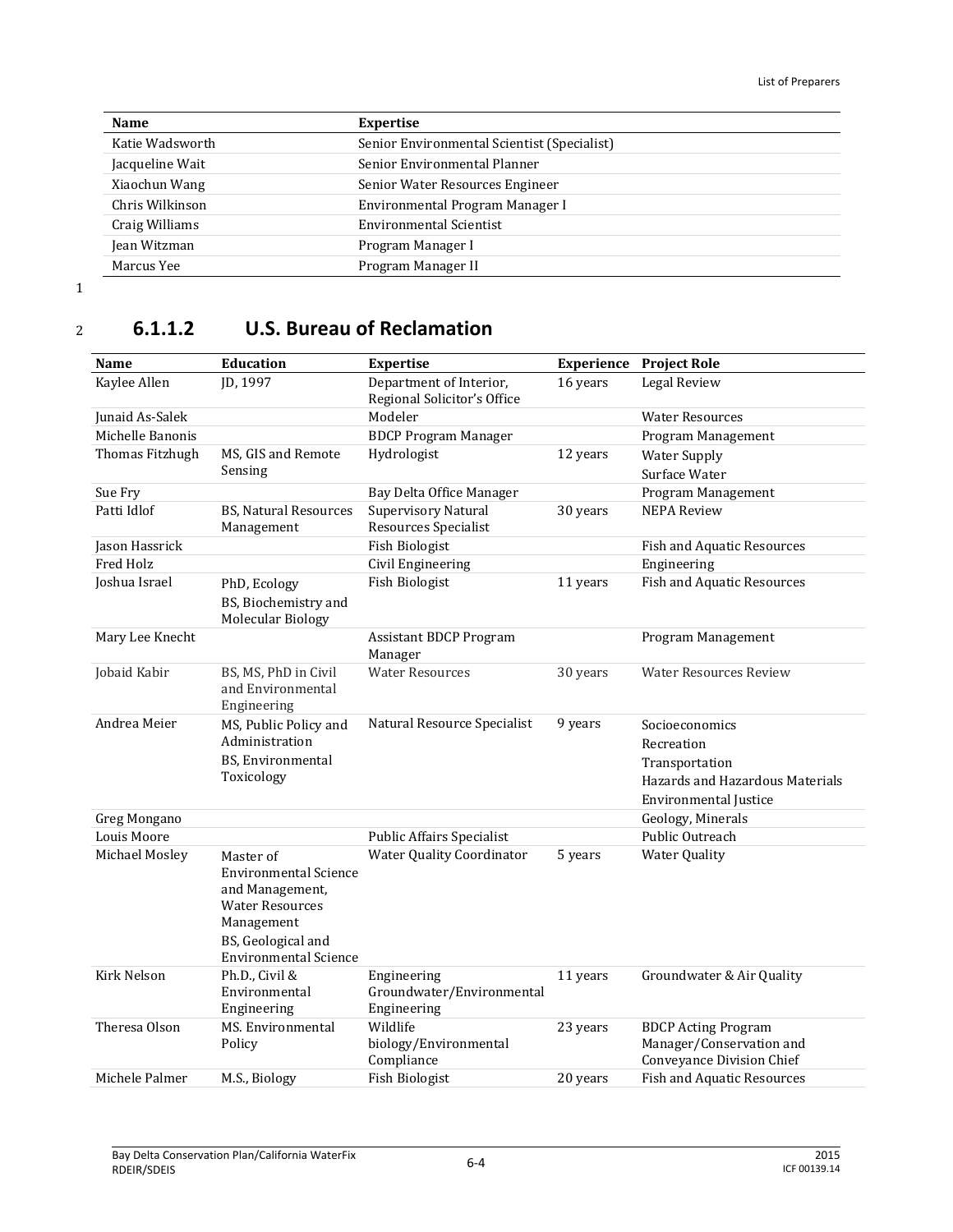| Name            | <b>Expertise</b>                            |  |
|-----------------|---------------------------------------------|--|
| Katie Wadsworth | Senior Environmental Scientist (Specialist) |  |
| Jacqueline Wait | Senior Environmental Planner                |  |
| Xiaochun Wang   | Senior Water Resources Engineer             |  |
| Chris Wilkinson | Environmental Program Manager I             |  |
| Craig Williams  | <b>Environmental Scientist</b>              |  |
| Jean Witzman    | Program Manager I                           |  |
| Marcus Yee      | Program Manager II                          |  |

## <sup>2</sup> **6.1.1.2 U.S. Bureau of Reclamation**

| Name             | <b>Education</b>                                                                                                                                           | <b>Expertise</b>                                                   | <b>Experience</b>  | <b>Project Role</b>                                                                 |
|------------------|------------------------------------------------------------------------------------------------------------------------------------------------------------|--------------------------------------------------------------------|--------------------|-------------------------------------------------------------------------------------|
| Kaylee Allen     | JD, 1997                                                                                                                                                   | Department of Interior,<br>16 years<br>Regional Solicitor's Office |                    | Legal Review                                                                        |
| Junaid As-Salek  |                                                                                                                                                            | Modeler                                                            |                    | <b>Water Resources</b>                                                              |
| Michelle Banonis |                                                                                                                                                            | <b>BDCP Program Manager</b>                                        |                    | Program Management                                                                  |
| Thomas Fitzhugh  | MS, GIS and Remote                                                                                                                                         | Hydrologist                                                        | 12 years           | <b>Water Supply</b>                                                                 |
|                  | Sensing                                                                                                                                                    |                                                                    |                    | Surface Water                                                                       |
| Sue Fry          |                                                                                                                                                            | Bay Delta Office Manager                                           |                    | Program Management                                                                  |
| Patti Idlof      | <b>BS, Natural Resources</b><br>Management                                                                                                                 | Supervisory Natural<br>Resources Specialist                        | 30 years           | <b>NEPA Review</b>                                                                  |
| Jason Hassrick   |                                                                                                                                                            | <b>Fish Biologist</b>                                              |                    | <b>Fish and Aquatic Resources</b>                                                   |
| Fred Holz        |                                                                                                                                                            | Civil Engineering                                                  |                    | Engineering                                                                         |
| Joshua Israel    | PhD, Ecology<br>BS, Biochemistry and<br>Molecular Biology                                                                                                  | <b>Fish Biologist</b>                                              | 11 years           | <b>Fish and Aquatic Resources</b>                                                   |
| Mary Lee Knecht  |                                                                                                                                                            | <b>Assistant BDCP Program</b><br>Manager                           | Program Management |                                                                                     |
| Jobaid Kabir     | BS, MS, PhD in Civil<br>and Environmental<br>Engineering                                                                                                   | <b>Water Resources</b>                                             | 30 years           | <b>Water Resources Review</b>                                                       |
| Andrea Meier     | MS, Public Policy and<br>Administration                                                                                                                    | Natural Resource Specialist                                        | 9 years            | Socioeconomics                                                                      |
|                  |                                                                                                                                                            |                                                                    |                    | Recreation                                                                          |
|                  | BS, Environmental<br>Toxicology                                                                                                                            |                                                                    |                    | Transportation                                                                      |
|                  |                                                                                                                                                            |                                                                    |                    | Hazards and Hazardous Materials<br><b>Environmental Justice</b>                     |
| Greg Mongano     |                                                                                                                                                            | Geology, Minerals                                                  |                    |                                                                                     |
| Louis Moore      |                                                                                                                                                            | <b>Public Affairs Specialist</b>                                   |                    | Public Outreach                                                                     |
| Michael Mosley   | Master of<br><b>Environmental Science</b><br>and Management,<br><b>Water Resources</b><br>Management<br>BS, Geological and<br><b>Environmental Science</b> | <b>Water Quality Coordinator</b>                                   | 5 years            | <b>Water Quality</b>                                                                |
| Kirk Nelson      | Ph.D., Civil &<br>Environmental<br>Engineering                                                                                                             | Engineering<br>Groundwater/Environmental<br>Engineering            | 11 years           | Groundwater & Air Quality                                                           |
| Theresa Olson    | MS. Environmental<br>Policy                                                                                                                                | Wildlife<br>biology/Environmental<br>Compliance                    | 23 years           | <b>BDCP Acting Program</b><br>Manager/Conservation and<br>Conveyance Division Chief |
| Michele Palmer   | M.S., Biology                                                                                                                                              | <b>Fish Biologist</b>                                              | 20 years           | <b>Fish and Aquatic Resources</b>                                                   |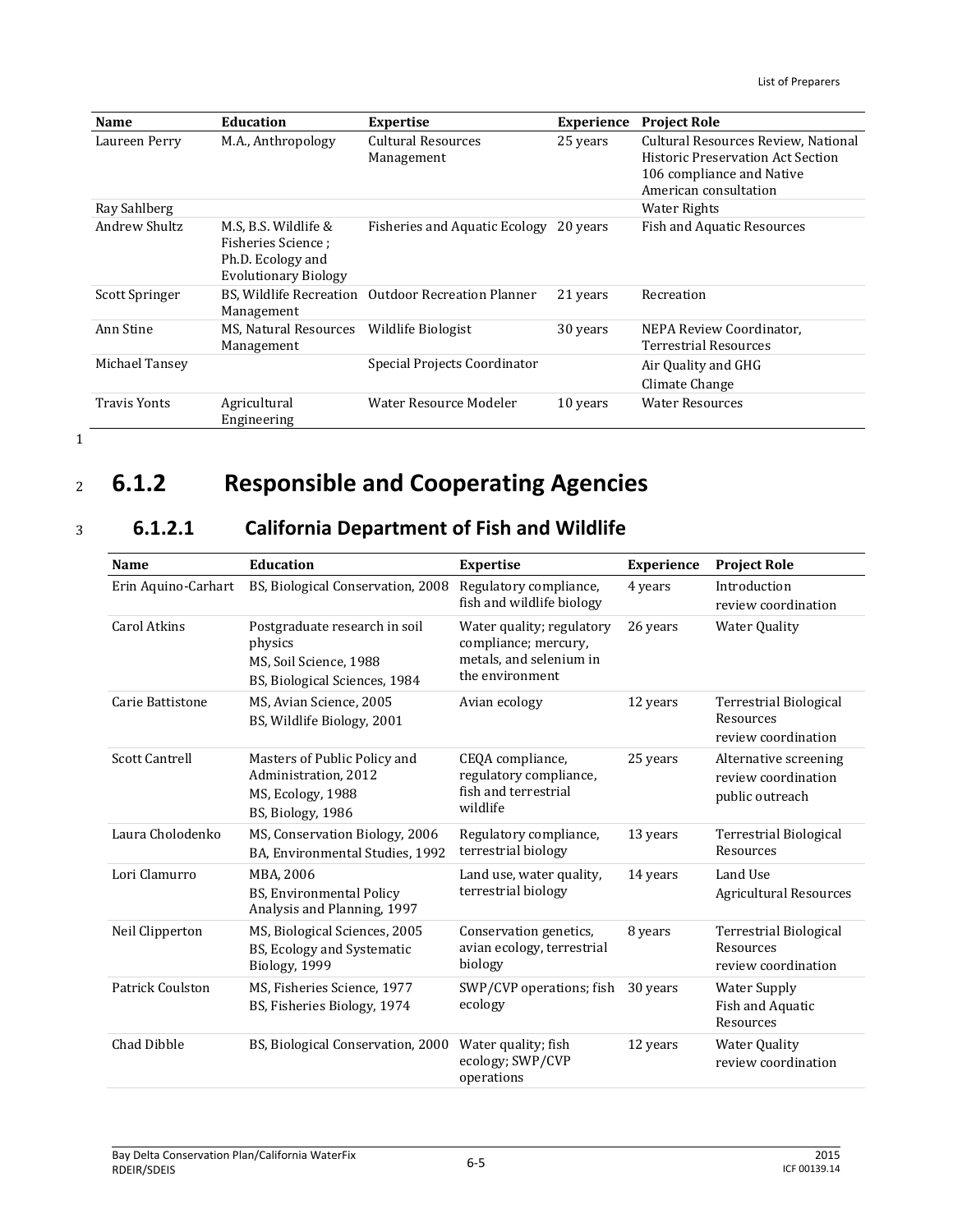| <b>Name</b>         | <b>Education</b>                                                                                | <b>Expertise</b>                        | <b>Experience</b> | <b>Project Role</b>                                                                                                                   |
|---------------------|-------------------------------------------------------------------------------------------------|-----------------------------------------|-------------------|---------------------------------------------------------------------------------------------------------------------------------------|
| Laureen Perry       | M.A., Anthropology                                                                              | <b>Cultural Resources</b><br>Management | 25 years          | Cultural Resources Review, National<br><b>Historic Preservation Act Section</b><br>106 compliance and Native<br>American consultation |
| Ray Sahlberg        |                                                                                                 |                                         |                   | <b>Water Rights</b>                                                                                                                   |
| Andrew Shultz       | M.S. B.S. Wildlife &<br>Fisheries Science ;<br>Ph.D. Ecology and<br><b>Evolutionary Biology</b> | <b>Fisheries and Aquatic Ecology</b>    | 20 years          | <b>Fish and Aquatic Resources</b>                                                                                                     |
| Scott Springer      | BS, Wildlife Recreation<br>Management                                                           | <b>Outdoor Recreation Planner</b>       | 21 years          | Recreation                                                                                                                            |
| Ann Stine           | MS, Natural Resources<br>Management                                                             | Wildlife Biologist                      | 30 years          | NEPA Review Coordinator,<br><b>Terrestrial Resources</b>                                                                              |
| Michael Tansey      |                                                                                                 | Special Projects Coordinator            |                   | Air Quality and GHG<br>Climate Change                                                                                                 |
| <b>Travis Yonts</b> | Agricultural<br>Engineering                                                                     | Water Resource Modeler                  | 10 years          | <b>Water Resources</b>                                                                                                                |

# <sup>2</sup> **6.1.2 Responsible and Cooperating Agencies**

## <sup>3</sup> **6.1.2.1 California Department of Fish and Wildlife**

| <b>Name</b>             | <b>Education</b>                                                                                    | <b>Expertise</b>                                                                                | <b>Experience</b> | <b>Project Role</b>                                             |
|-------------------------|-----------------------------------------------------------------------------------------------------|-------------------------------------------------------------------------------------------------|-------------------|-----------------------------------------------------------------|
| Erin Aquino-Carhart     | BS, Biological Conservation, 2008                                                                   | Regulatory compliance,<br>fish and wildlife biology                                             | 4 years           | Introduction<br>review coordination                             |
| Carol Atkins            | Postgraduate research in soil<br>physics<br>MS, Soil Science, 1988<br>BS, Biological Sciences, 1984 | Water quality; regulatory<br>compliance; mercury,<br>metals, and selenium in<br>the environment | 26 years          | <b>Water Quality</b>                                            |
| Carie Battistone        | MS, Avian Science, 2005<br>BS, Wildlife Biology, 2001                                               | Avian ecology                                                                                   | 12 years          | Terrestrial Biological<br>Resources<br>review coordination      |
| <b>Scott Cantrell</b>   | Masters of Public Policy and<br>Administration. 2012<br>MS, Ecology, 1988<br>BS, Biology, 1986      | CEQA compliance,<br>regulatory compliance,<br>fish and terrestrial<br>wildlife                  | 25 years          | Alternative screening<br>review coordination<br>public outreach |
| Laura Cholodenko        | MS, Conservation Biology, 2006<br>BA, Environmental Studies, 1992                                   | Regulatory compliance,<br>terrestrial biology                                                   | 13 years          | Terrestrial Biological<br>Resources                             |
| Lori Clamurro           | MBA. 2006<br><b>BS, Environmental Policy</b><br>Analysis and Planning, 1997                         | Land use, water quality,<br>terrestrial biology                                                 | 14 years          | Land Use<br><b>Agricultural Resources</b>                       |
| Neil Clipperton         | MS, Biological Sciences, 2005<br>BS, Ecology and Systematic<br>Biology, 1999                        | Conservation genetics,<br>avian ecology, terrestrial<br>biology                                 | 8 years           | Terrestrial Biological<br>Resources<br>review coordination      |
| <b>Patrick Coulston</b> | MS, Fisheries Science, 1977<br>BS, Fisheries Biology, 1974                                          | SWP/CVP operations; fish<br>ecology                                                             | 30 years          | <b>Water Supply</b><br>Fish and Aquatic<br>Resources            |
| Chad Dibble             | BS, Biological Conservation, 2000                                                                   | Water quality; fish<br>ecology; SWP/CVP<br>operations                                           | 12 years          | <b>Water Quality</b><br>review coordination                     |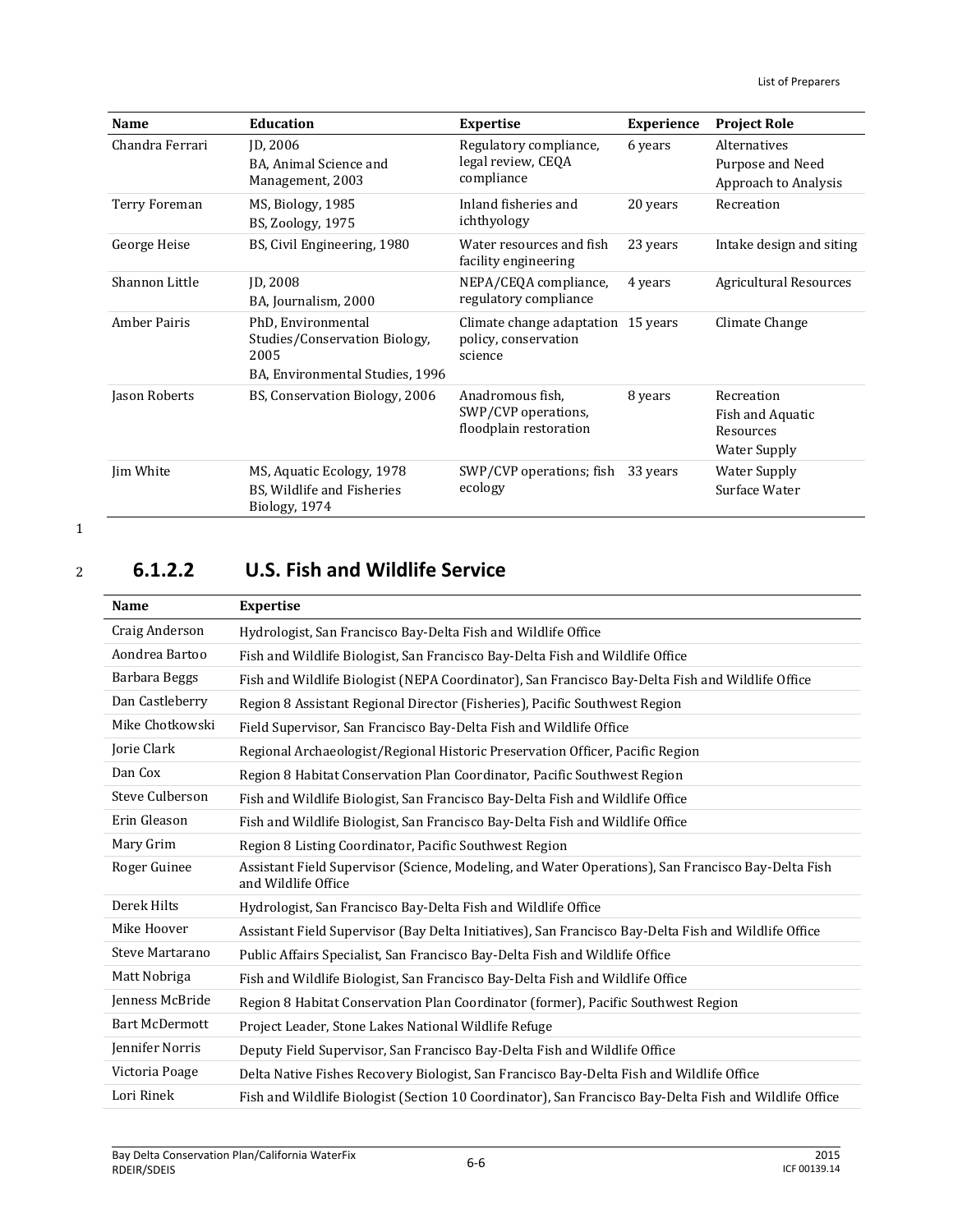| <b>Name</b>         | <b>Education</b>                                                                               | <b>Expertise</b>                                                      | <b>Experience</b> | <b>Project Role</b>                                         |
|---------------------|------------------------------------------------------------------------------------------------|-----------------------------------------------------------------------|-------------------|-------------------------------------------------------------|
| Chandra Ferrari     | ID, 2006<br>BA, Animal Science and<br>Management, 2003                                         | Regulatory compliance,<br>legal review, CEQA<br>compliance            | 6 years           | Alternatives<br>Purpose and Need<br>Approach to Analysis    |
| Terry Foreman       | MS, Biology, 1985<br>BS, Zoology, 1975                                                         | Inland fisheries and<br>ichthyology                                   | 20 years          | Recreation                                                  |
| George Heise        | BS, Civil Engineering, 1980                                                                    | Water resources and fish<br>facility engineering                      | 23 years          | Intake design and siting                                    |
| Shannon Little      | <b>ID. 2008</b><br>BA, Journalism, 2000                                                        | NEPA/CEQA compliance,<br>regulatory compliance                        | 4 years           | <b>Agricultural Resources</b>                               |
| <b>Amber Pairis</b> | PhD, Environmental<br>Studies/Conservation Biology,<br>2005<br>BA, Environmental Studies, 1996 | Climate change adaptation 15 years<br>policy, conservation<br>science |                   | Climate Change                                              |
| Jason Roberts       | BS, Conservation Biology, 2006                                                                 | Anadromous fish,<br>SWP/CVP operations,<br>floodplain restoration     | 8 years           | Recreation<br>Fish and Aquatic<br>Resources<br>Water Supply |
| Jim White           | MS, Aquatic Ecology, 1978<br>BS, Wildlife and Fisheries<br>Biology, 1974                       | SWP/CVP operations; fish<br>ecology                                   | 33 years          | <b>Water Supply</b><br>Surface Water                        |

# <sup>2</sup> **6.1.2.2 U.S. Fish and Wildlife Service**

| <b>Name</b>           | <b>Expertise</b>                                                                                                          |  |
|-----------------------|---------------------------------------------------------------------------------------------------------------------------|--|
| Craig Anderson        | Hydrologist, San Francisco Bay-Delta Fish and Wildlife Office                                                             |  |
| Aondrea Bartoo        | Fish and Wildlife Biologist, San Francisco Bay-Delta Fish and Wildlife Office                                             |  |
| Barbara Beggs         | Fish and Wildlife Biologist (NEPA Coordinator), San Francisco Bay-Delta Fish and Wildlife Office                          |  |
| Dan Castleberry       | Region 8 Assistant Regional Director (Fisheries), Pacific Southwest Region                                                |  |
| Mike Chotkowski       | Field Supervisor, San Francisco Bay-Delta Fish and Wildlife Office                                                        |  |
| Jorie Clark           | Regional Archaeologist/Regional Historic Preservation Officer, Pacific Region                                             |  |
| Dan Cox               | Region 8 Habitat Conservation Plan Coordinator, Pacific Southwest Region                                                  |  |
| Steve Culberson       | Fish and Wildlife Biologist, San Francisco Bay-Delta Fish and Wildlife Office                                             |  |
| Erin Gleason          | Fish and Wildlife Biologist, San Francisco Bay-Delta Fish and Wildlife Office                                             |  |
| Mary Grim             | Region 8 Listing Coordinator, Pacific Southwest Region                                                                    |  |
| Roger Guinee          | Assistant Field Supervisor (Science, Modeling, and Water Operations), San Francisco Bay-Delta Fish<br>and Wildlife Office |  |
| Derek Hilts           | Hydrologist, San Francisco Bay-Delta Fish and Wildlife Office                                                             |  |
| Mike Hoover           | Assistant Field Supervisor (Bay Delta Initiatives), San Francisco Bay-Delta Fish and Wildlife Office                      |  |
| Steve Martarano       | Public Affairs Specialist, San Francisco Bay-Delta Fish and Wildlife Office                                               |  |
| Matt Nobriga          | Fish and Wildlife Biologist, San Francisco Bay-Delta Fish and Wildlife Office                                             |  |
| Jenness McBride       | Region 8 Habitat Conservation Plan Coordinator (former), Pacific Southwest Region                                         |  |
| <b>Bart McDermott</b> | Project Leader, Stone Lakes National Wildlife Refuge                                                                      |  |
| Jennifer Norris       | Deputy Field Supervisor, San Francisco Bay-Delta Fish and Wildlife Office                                                 |  |
| Victoria Poage        | Delta Native Fishes Recovery Biologist, San Francisco Bay-Delta Fish and Wildlife Office                                  |  |
| Lori Rinek            | Fish and Wildlife Biologist (Section 10 Coordinator), San Francisco Bay-Delta Fish and Wildlife Office                    |  |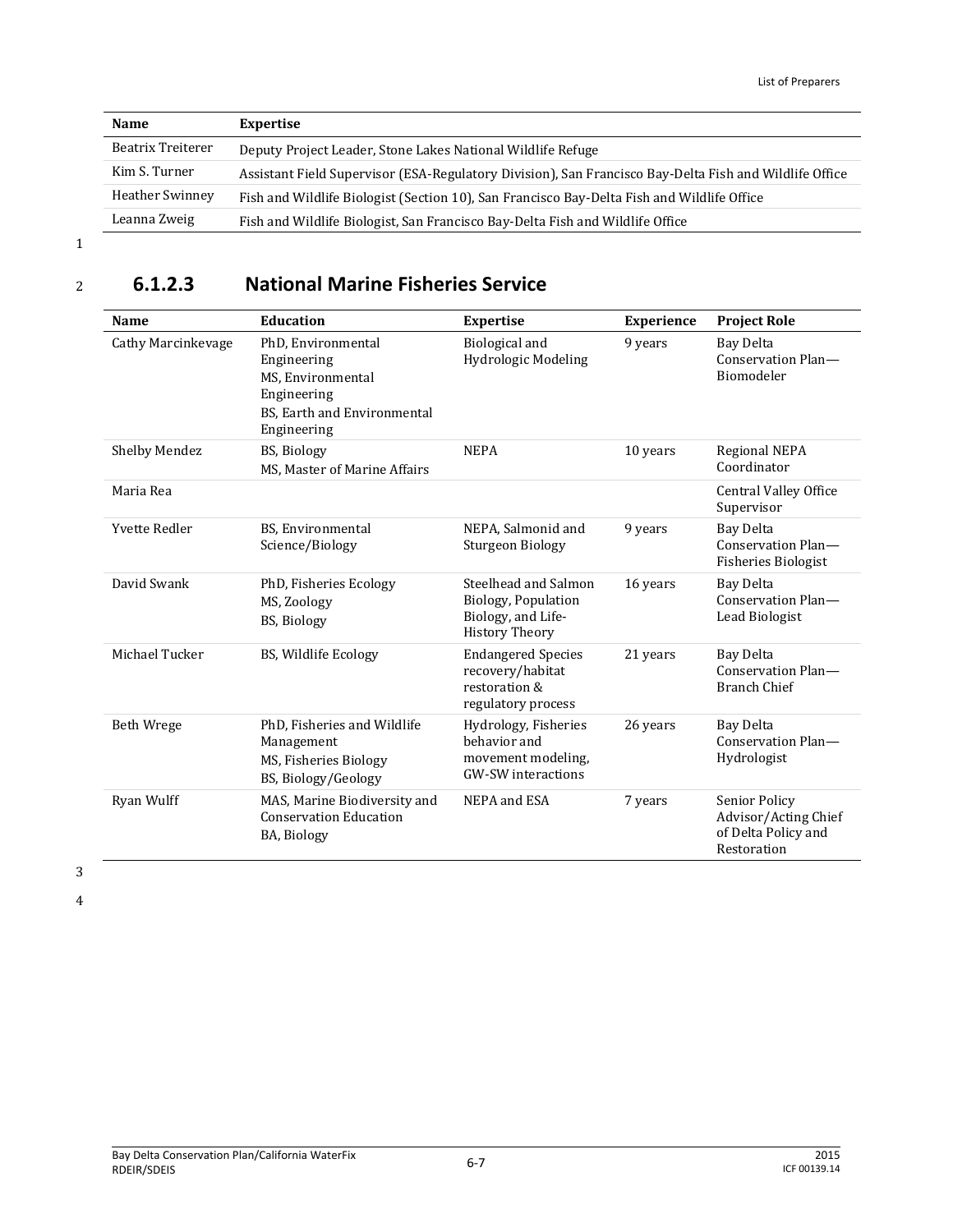| <b>Name</b>       | Expertise                                                                                              |  |
|-------------------|--------------------------------------------------------------------------------------------------------|--|
| Beatrix Treiterer | Deputy Project Leader, Stone Lakes National Wildlife Refuge                                            |  |
| Kim S. Turner     | Assistant Field Supervisor (ESA-Regulatory Division), San Francisco Bay-Delta Fish and Wildlife Office |  |
| Heather Swinney   | Fish and Wildlife Biologist (Section 10), San Francisco Bay-Delta Fish and Wildlife Office             |  |
| Leanna Zweig      | Fish and Wildlife Biologist, San Francisco Bay-Delta Fish and Wildlife Office                          |  |

# <sup>2</sup> **6.1.2.3 National Marine Fisheries Service**

| Name                 | <b>Education</b>                                                                                                    | <b>Expertise</b>                                                                           | Experience | <b>Project Role</b>                                                         |
|----------------------|---------------------------------------------------------------------------------------------------------------------|--------------------------------------------------------------------------------------------|------------|-----------------------------------------------------------------------------|
| Cathy Marcinkevage   | PhD, Environmental<br>Engineering<br>MS, Environmental<br>Engineering<br>BS, Earth and Environmental<br>Engineering | <b>Biological</b> and<br>Hydrologic Modeling                                               | 9 years    | Bay Delta<br>Conservation Plan-<br>Biomodeler                               |
| Shelby Mendez        | <b>BS, Biology</b><br>MS. Master of Marine Affairs                                                                  | <b>NEPA</b>                                                                                | 10 years   | <b>Regional NEPA</b><br>Coordinator                                         |
| Maria Rea            |                                                                                                                     |                                                                                            |            | <b>Central Valley Office</b><br>Supervisor                                  |
| <b>Yvette Redler</b> | BS, Environmental<br>Science/Biology                                                                                | NEPA, Salmonid and<br>Sturgeon Biology                                                     | 9 years    | Bay Delta<br>Conservation Plan-<br><b>Fisheries Biologist</b>               |
| David Swank          | PhD, Fisheries Ecology<br>MS, Zoology<br>BS, Biology                                                                | Steelhead and Salmon<br>Biology, Population<br>Biology, and Life-<br><b>History Theory</b> | 16 years   | Bay Delta<br>Conservation Plan-<br>Lead Biologist                           |
| Michael Tucker       | BS, Wildlife Ecology                                                                                                | <b>Endangered Species</b><br>recovery/habitat<br>restoration &<br>regulatory process       | 21 years   | Bay Delta<br>Conservation Plan-<br><b>Branch Chief</b>                      |
| <b>Beth Wrege</b>    | PhD, Fisheries and Wildlife<br>Management<br>MS, Fisheries Biology<br>BS, Biology/Geology                           | Hydrology, Fisheries<br>behavior and<br>movement modeling,<br>GW-SW interactions           | 26 years   | Bay Delta<br>Conservation Plan-<br>Hydrologist                              |
| Ryan Wulff           | MAS, Marine Biodiversity and<br><b>Conservation Education</b><br>BA, Biology                                        | NEPA and ESA                                                                               | 7 years    | Senior Policy<br>Advisor/Acting Chief<br>of Delta Policy and<br>Restoration |

3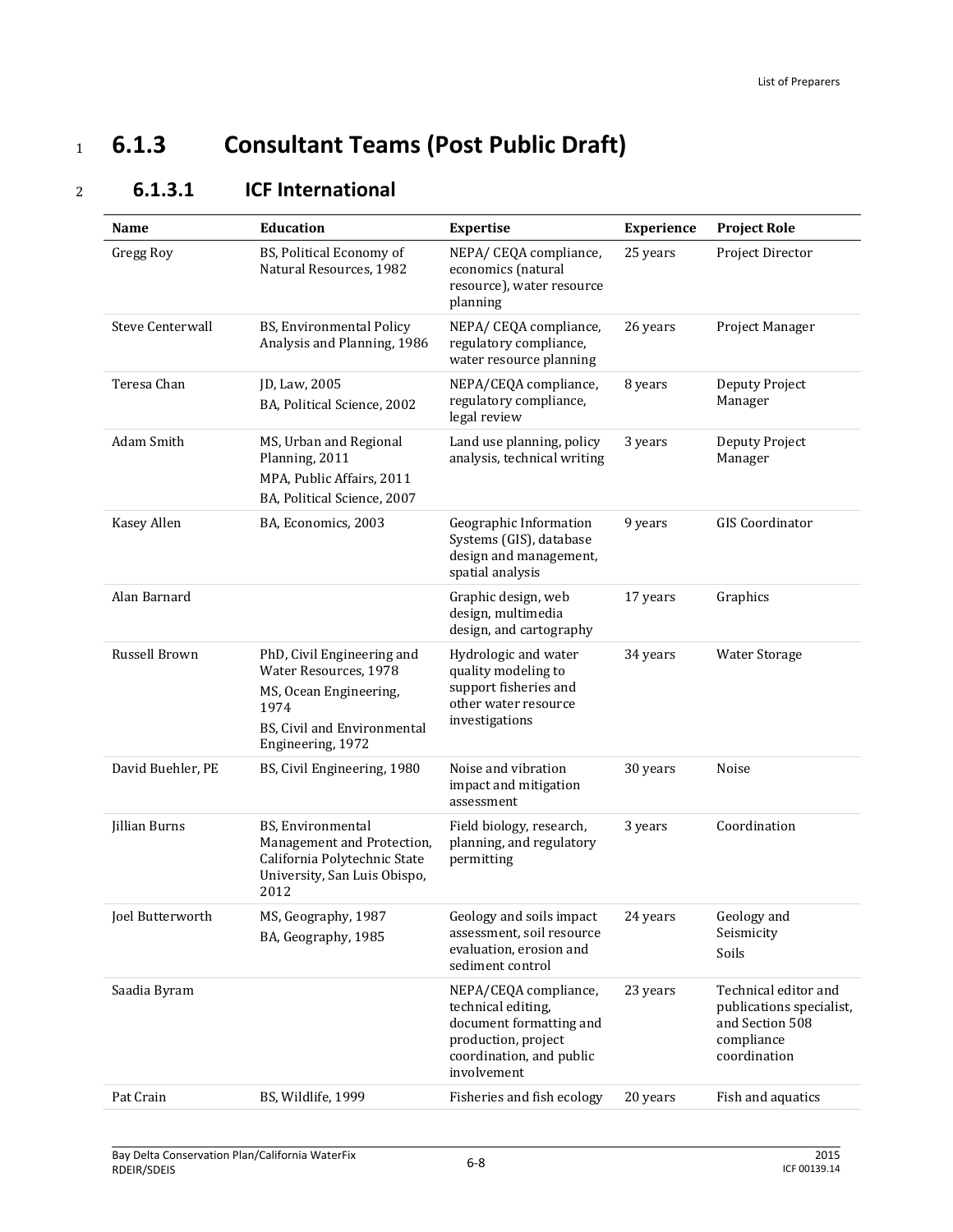# <sup>1</sup> **6.1.3 Consultant Teams (Post Public Draft)**

| <b>ICF International</b> |
|--------------------------|
|                          |

| <b>Name</b>             | <b>Education</b>                                                                                                                          | <b>Expertise</b>                                                                                                                         | Experience | <b>Project Role</b>                                                                               |
|-------------------------|-------------------------------------------------------------------------------------------------------------------------------------------|------------------------------------------------------------------------------------------------------------------------------------------|------------|---------------------------------------------------------------------------------------------------|
| Gregg Roy               | BS, Political Economy of<br>Natural Resources, 1982                                                                                       | NEPA/ CEQA compliance,<br>economics (natural<br>resource), water resource<br>planning                                                    | 25 years   | Project Director                                                                                  |
| <b>Steve Centerwall</b> | BS, Environmental Policy<br>Analysis and Planning, 1986                                                                                   | NEPA/ CEQA compliance,<br>regulatory compliance,<br>water resource planning                                                              | 26 years   | Project Manager                                                                                   |
| Teresa Chan             | JD, Law, 2005<br>BA, Political Science, 2002                                                                                              | NEPA/CEQA compliance,<br>regulatory compliance,<br>legal review                                                                          | 8 years    | Deputy Project<br>Manager                                                                         |
| Adam Smith              | MS, Urban and Regional<br>Planning, 2011<br>MPA, Public Affairs, 2011<br>BA, Political Science, 2007                                      | Land use planning, policy<br>analysis, technical writing                                                                                 | 3 years    | Deputy Project<br>Manager                                                                         |
| Kasey Allen             | BA, Economics, 2003                                                                                                                       | Geographic Information<br>Systems (GIS), database<br>design and management,<br>spatial analysis                                          | 9 years    | <b>GIS</b> Coordinator                                                                            |
| Alan Barnard            |                                                                                                                                           | Graphic design, web<br>design, multimedia<br>design, and cartography                                                                     | 17 years   | Graphics                                                                                          |
| Russell Brown           | PhD, Civil Engineering and<br>Water Resources, 1978<br>MS, Ocean Engineering,<br>1974<br>BS, Civil and Environmental<br>Engineering, 1972 | Hydrologic and water<br>quality modeling to<br>support fisheries and<br>other water resource<br>investigations                           | 34 years   | <b>Water Storage</b>                                                                              |
| David Buehler, PE       | BS, Civil Engineering, 1980                                                                                                               | Noise and vibration<br>impact and mitigation<br>assessment                                                                               | 30 years   | Noise                                                                                             |
| Jillian Burns           | BS, Environmental<br>Management and Protection,<br>California Polytechnic State<br>University, San Luis Obispo,<br>2012                   | Field biology, research,<br>planning, and regulatory<br>permitting                                                                       | 3 years    | Coordination                                                                                      |
| Joel Butterworth        | MS, Geography, 1987<br>BA, Geography, 1985                                                                                                | Geology and soils impact<br>assessment, soil resource<br>evaluation, erosion and<br>sediment control                                     | 24 years   | Geology and<br>Seismicity<br>Soils                                                                |
| Saadia Byram            |                                                                                                                                           | NEPA/CEQA compliance,<br>technical editing,<br>document formatting and<br>production, project<br>coordination, and public<br>involvement | 23 years   | Technical editor and<br>publications specialist,<br>and Section 508<br>compliance<br>coordination |
| Pat Crain               | BS, Wildlife, 1999                                                                                                                        | Fisheries and fish ecology                                                                                                               | 20 years   | Fish and aquatics                                                                                 |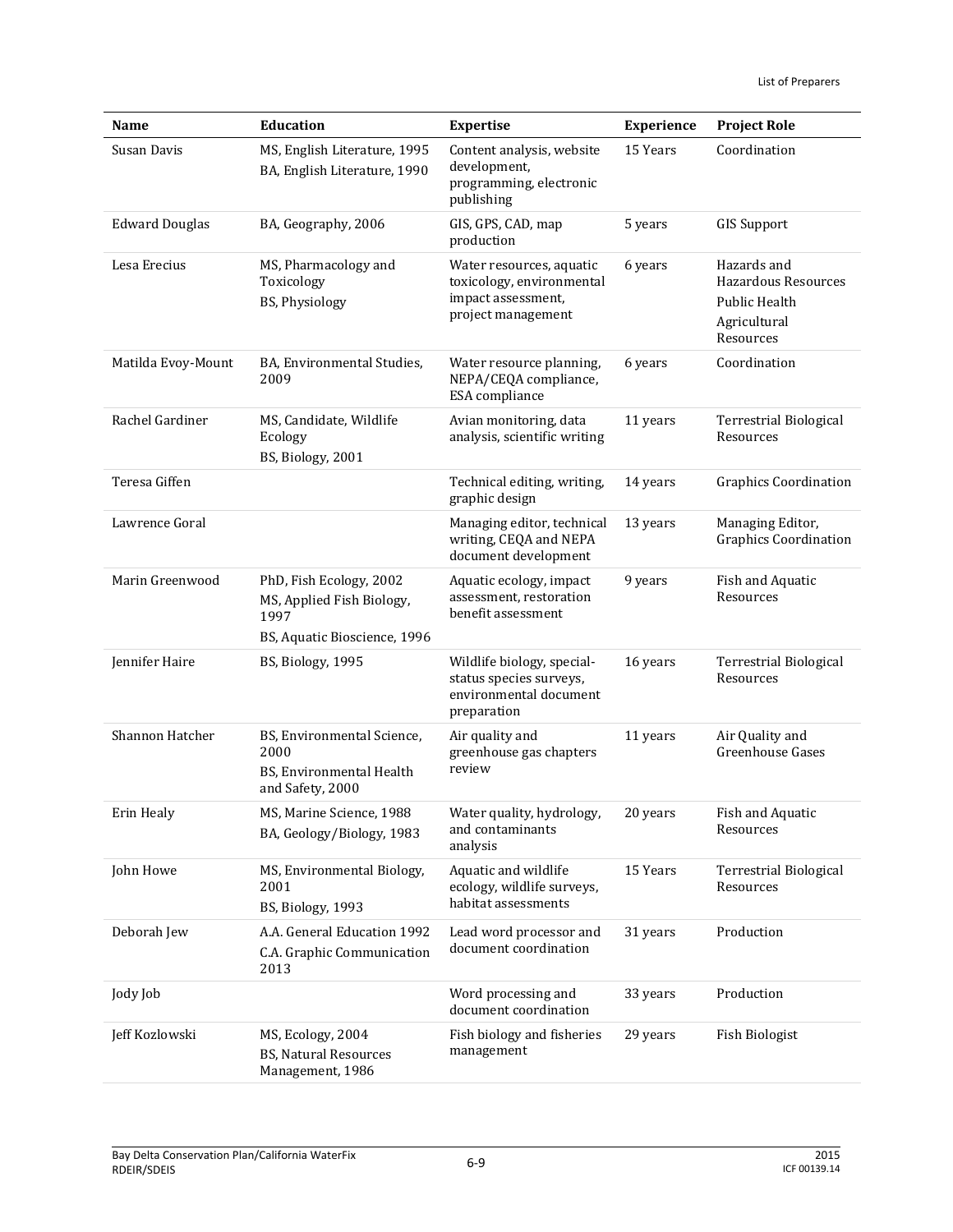| Name                  | <b>Education</b>                                                                             | <b>Expertise</b>                                                                                  | Experience | <b>Project Role</b>                                                                     |
|-----------------------|----------------------------------------------------------------------------------------------|---------------------------------------------------------------------------------------------------|------------|-----------------------------------------------------------------------------------------|
| Susan Davis           | MS, English Literature, 1995<br>BA, English Literature, 1990                                 | Content analysis, website<br>development,<br>programming, electronic<br>publishing                | 15 Years   | Coordination                                                                            |
| <b>Edward Douglas</b> | BA, Geography, 2006                                                                          | GIS, GPS, CAD, map<br>production                                                                  | 5 years    | <b>GIS Support</b>                                                                      |
| Lesa Erecius          | MS, Pharmacology and<br>Toxicology<br>BS, Physiology                                         | Water resources, aquatic<br>toxicology, environmental<br>impact assessment,<br>project management | 6 years    | Hazards and<br><b>Hazardous Resources</b><br>Public Health<br>Agricultural<br>Resources |
| Matilda Evoy-Mount    | BA, Environmental Studies,<br>2009                                                           | Water resource planning,<br>NEPA/CEQA compliance,<br>ESA compliance                               | 6 years    | Coordination                                                                            |
| Rachel Gardiner       | MS, Candidate, Wildlife<br>Ecology<br>BS, Biology, 2001                                      | Avian monitoring, data<br>analysis, scientific writing                                            | 11 years   | <b>Terrestrial Biological</b><br>Resources                                              |
| Teresa Giffen         |                                                                                              | Technical editing, writing,<br>graphic design                                                     | 14 years   | <b>Graphics Coordination</b>                                                            |
| Lawrence Goral        |                                                                                              | Managing editor, technical<br>writing, CEQA and NEPA<br>document development                      | 13 years   | Managing Editor,<br><b>Graphics Coordination</b>                                        |
| Marin Greenwood       | PhD, Fish Ecology, 2002<br>MS, Applied Fish Biology,<br>1997<br>BS, Aquatic Bioscience, 1996 | Aquatic ecology, impact<br>assessment, restoration<br>benefit assessment                          | 9 years    | Fish and Aquatic<br>Resources                                                           |
| Jennifer Haire        | BS, Biology, 1995                                                                            | Wildlife biology, special-<br>status species surveys,<br>environmental document<br>preparation    | 16 years   | <b>Terrestrial Biological</b><br>Resources                                              |
| Shannon Hatcher       | BS, Environmental Science,<br>2000<br>BS, Environmental Health<br>and Safety, 2000           | Air quality and<br>greenhouse gas chapters<br>review                                              | 11 years   | Air Quality and<br>Greenhouse Gases                                                     |
| Erin Healy            | MS, Marine Science, 1988<br>BA, Geology/Biology, 1983                                        | Water quality, hydrology,<br>and contaminants<br>analysis                                         | 20 years   | Fish and Aquatic<br>Resources                                                           |
| John Howe             | MS, Environmental Biology,<br>2001<br>BS, Biology, 1993                                      | Aquatic and wildlife<br>ecology, wildlife surveys,<br>habitat assessments                         | 15 Years   | <b>Terrestrial Biological</b><br>Resources                                              |
| Deborah Jew           | A.A. General Education 1992<br>C.A. Graphic Communication<br>2013                            | Lead word processor and<br>document coordination                                                  | 31 years   | Production                                                                              |
| Jody Job              |                                                                                              | Word processing and<br>document coordination                                                      | 33 years   | Production                                                                              |
| Jeff Kozlowski        | MS, Ecology, 2004<br>BS, Natural Resources<br>Management, 1986                               | Fish biology and fisheries<br>management                                                          | 29 years   | Fish Biologist                                                                          |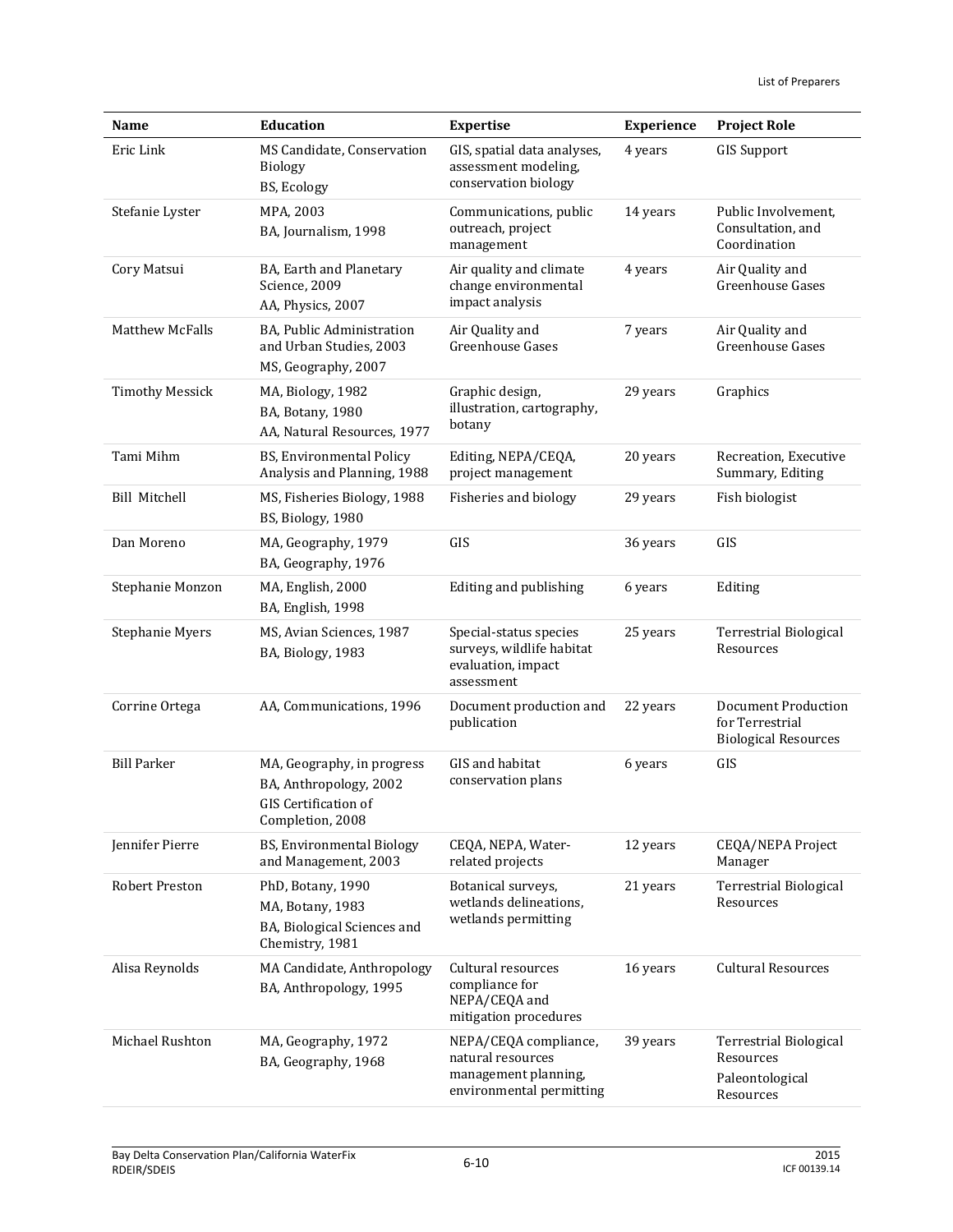| Name                   | <b>Education</b>                                                                                 | <b>Expertise</b>                                                                               | <b>Experience</b> | <b>Project Role</b>                                                   |
|------------------------|--------------------------------------------------------------------------------------------------|------------------------------------------------------------------------------------------------|-------------------|-----------------------------------------------------------------------|
| Eric Link              | MS Candidate, Conservation<br>Biology<br>BS, Ecology                                             | GIS, spatial data analyses,<br>assessment modeling,<br>conservation biology                    | 4 years           | <b>GIS Support</b>                                                    |
| Stefanie Lyster        | MPA, 2003<br>BA, Journalism, 1998                                                                | Communications, public<br>outreach, project<br>management                                      | 14 years          | Public Involvement,<br>Consultation, and<br>Coordination              |
| Cory Matsui            | BA, Earth and Planetary<br>Science, 2009<br>AA, Physics, 2007                                    | Air quality and climate<br>change environmental<br>impact analysis                             | 4 years           | Air Quality and<br>Greenhouse Gases                                   |
| <b>Matthew McFalls</b> | BA, Public Administration<br>and Urban Studies, 2003<br>MS, Geography, 2007                      | Air Quality and<br>Greenhouse Gases                                                            | 7 years           | Air Quality and<br>Greenhouse Gases                                   |
| <b>Timothy Messick</b> | MA, Biology, 1982<br>BA, Botany, 1980<br>AA, Natural Resources, 1977                             | Graphic design,<br>illustration, cartography,<br>botany                                        | 29 years          | Graphics                                                              |
| Tami Mihm              | BS, Environmental Policy<br>Analysis and Planning, 1988                                          | Editing, NEPA/CEQA,<br>project management                                                      | 20 years          | Recreation, Executive<br>Summary, Editing                             |
| <b>Bill Mitchell</b>   | MS, Fisheries Biology, 1988<br>BS, Biology, 1980                                                 | Fisheries and biology                                                                          | 29 years          | Fish biologist                                                        |
| Dan Moreno             | MA, Geography, 1979<br>BA, Geography, 1976                                                       | GIS                                                                                            | 36 years          | GIS                                                                   |
| Stephanie Monzon       | MA, English, 2000<br>BA, English, 1998                                                           | Editing and publishing                                                                         | 6 years           | Editing                                                               |
| Stephanie Myers        | MS, Avian Sciences, 1987<br>BA, Biology, 1983                                                    | Special-status species<br>surveys, wildlife habitat<br>evaluation, impact<br>assessment        | 25 years          | <b>Terrestrial Biological</b><br>Resources                            |
| Corrine Ortega         | AA, Communications, 1996                                                                         | Document production and<br>publication                                                         | 22 years          | Document Production<br>for Terrestrial<br><b>Biological Resources</b> |
| <b>Bill Parker</b>     | MA, Geography, in progress<br>BA, Anthropology, 2002<br>GIS Certification of<br>Completion, 2008 | GIS and habitat<br>conservation plans                                                          | 6 years           | GIS                                                                   |
| Jennifer Pierre        | BS, Environmental Biology<br>and Management, 2003                                                | CEQA, NEPA, Water-<br>related projects                                                         | 12 years          | CEQA/NEPA Project<br>Manager                                          |
| <b>Robert Preston</b>  | PhD, Botany, 1990<br>MA, Botany, 1983<br>BA, Biological Sciences and<br>Chemistry, 1981          | Botanical surveys,<br>wetlands delineations,<br>wetlands permitting                            | 21 years          | <b>Terrestrial Biological</b><br>Resources                            |
| Alisa Reynolds         | MA Candidate, Anthropology<br>BA, Anthropology, 1995                                             | Cultural resources<br>compliance for<br>NEPA/CEQA and<br>mitigation procedures                 | 16 years          | <b>Cultural Resources</b>                                             |
| Michael Rushton        | MA, Geography, 1972<br>BA, Geography, 1968                                                       | NEPA/CEQA compliance,<br>natural resources<br>management planning,<br>environmental permitting | 39 years          | Terrestrial Biological<br>Resources<br>Paleontological<br>Resources   |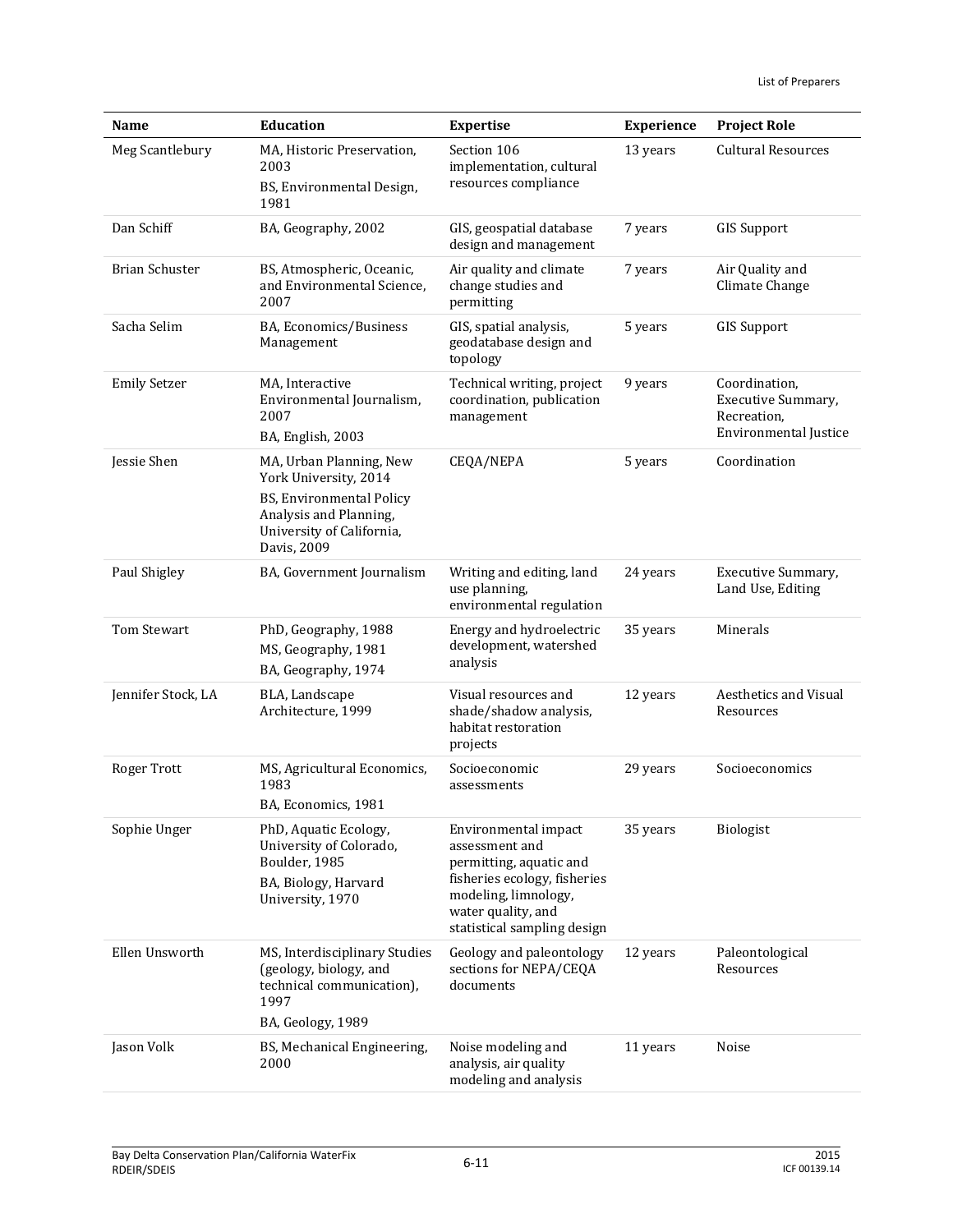| Name                  | <b>Education</b>                                                                                                                                   | <b>Expertise</b>                                                                                                                                                               | <b>Experience</b> | <b>Project Role</b>                                                                |
|-----------------------|----------------------------------------------------------------------------------------------------------------------------------------------------|--------------------------------------------------------------------------------------------------------------------------------------------------------------------------------|-------------------|------------------------------------------------------------------------------------|
| Meg Scantlebury       | MA, Historic Preservation,<br>2003<br>BS, Environmental Design,<br>1981                                                                            | Section 106<br>implementation, cultural<br>resources compliance                                                                                                                | 13 years          | <b>Cultural Resources</b>                                                          |
| Dan Schiff            | BA, Geography, 2002                                                                                                                                | GIS, geospatial database<br>design and management                                                                                                                              | 7 years           | <b>GIS Support</b>                                                                 |
| <b>Brian Schuster</b> | BS, Atmospheric, Oceanic,<br>and Environmental Science,<br>2007                                                                                    | Air quality and climate<br>change studies and<br>permitting                                                                                                                    | 7 years           | Air Quality and<br>Climate Change                                                  |
| Sacha Selim           | BA, Economics/Business<br>Management                                                                                                               | GIS, spatial analysis,<br>geodatabase design and<br>topology                                                                                                                   | 5 years           | <b>GIS Support</b>                                                                 |
| <b>Emily Setzer</b>   | MA, Interactive<br>Environmental Journalism,<br>2007<br>BA, English, 2003                                                                          | Technical writing, project<br>coordination, publication<br>management                                                                                                          | 9 years           | Coordination,<br>Executive Summary,<br>Recreation,<br><b>Environmental Justice</b> |
| Jessie Shen           | MA, Urban Planning, New<br>York University, 2014<br>BS, Environmental Policy<br>Analysis and Planning,<br>University of California,<br>Davis, 2009 | CEQA/NEPA                                                                                                                                                                      | 5 years           | Coordination                                                                       |
| Paul Shigley          | BA, Government Journalism                                                                                                                          | Writing and editing, land<br>use planning,<br>environmental regulation                                                                                                         | 24 years          | Executive Summary,<br>Land Use, Editing                                            |
| <b>Tom Stewart</b>    | PhD, Geography, 1988<br>MS, Geography, 1981<br>BA, Geography, 1974                                                                                 | Energy and hydroelectric<br>development, watershed<br>analysis                                                                                                                 | 35 years          | Minerals                                                                           |
| Jennifer Stock, LA    | BLA, Landscape<br>Architecture, 1999                                                                                                               | Visual resources and<br>shade/shadow analysis,<br>habitat restoration<br>projects                                                                                              | 12 years          | <b>Aesthetics and Visual</b><br>Resources                                          |
| Roger Trott           | MS, Agricultural Economics,<br>1983<br>BA, Economics, 1981                                                                                         | Socioeconomic<br>assessments                                                                                                                                                   | 29 years          | Socioeconomics                                                                     |
| Sophie Unger          | PhD, Aquatic Ecology,<br>University of Colorado,<br>Boulder, 1985<br>BA, Biology, Harvard<br>University, 1970                                      | Environmental impact<br>assessment and<br>permitting, aquatic and<br>fisheries ecology, fisheries<br>modeling, limnology,<br>water quality, and<br>statistical sampling design | 35 years          | Biologist                                                                          |
| Ellen Unsworth        | MS, Interdisciplinary Studies<br>(geology, biology, and<br>technical communication),<br>1997<br>BA, Geology, 1989                                  | Geology and paleontology<br>sections for NEPA/CEQA<br>documents                                                                                                                | 12 years          | Paleontological<br>Resources                                                       |
| Jason Volk            | BS, Mechanical Engineering,<br>2000                                                                                                                | Noise modeling and<br>analysis, air quality<br>modeling and analysis                                                                                                           | 11 years          | Noise                                                                              |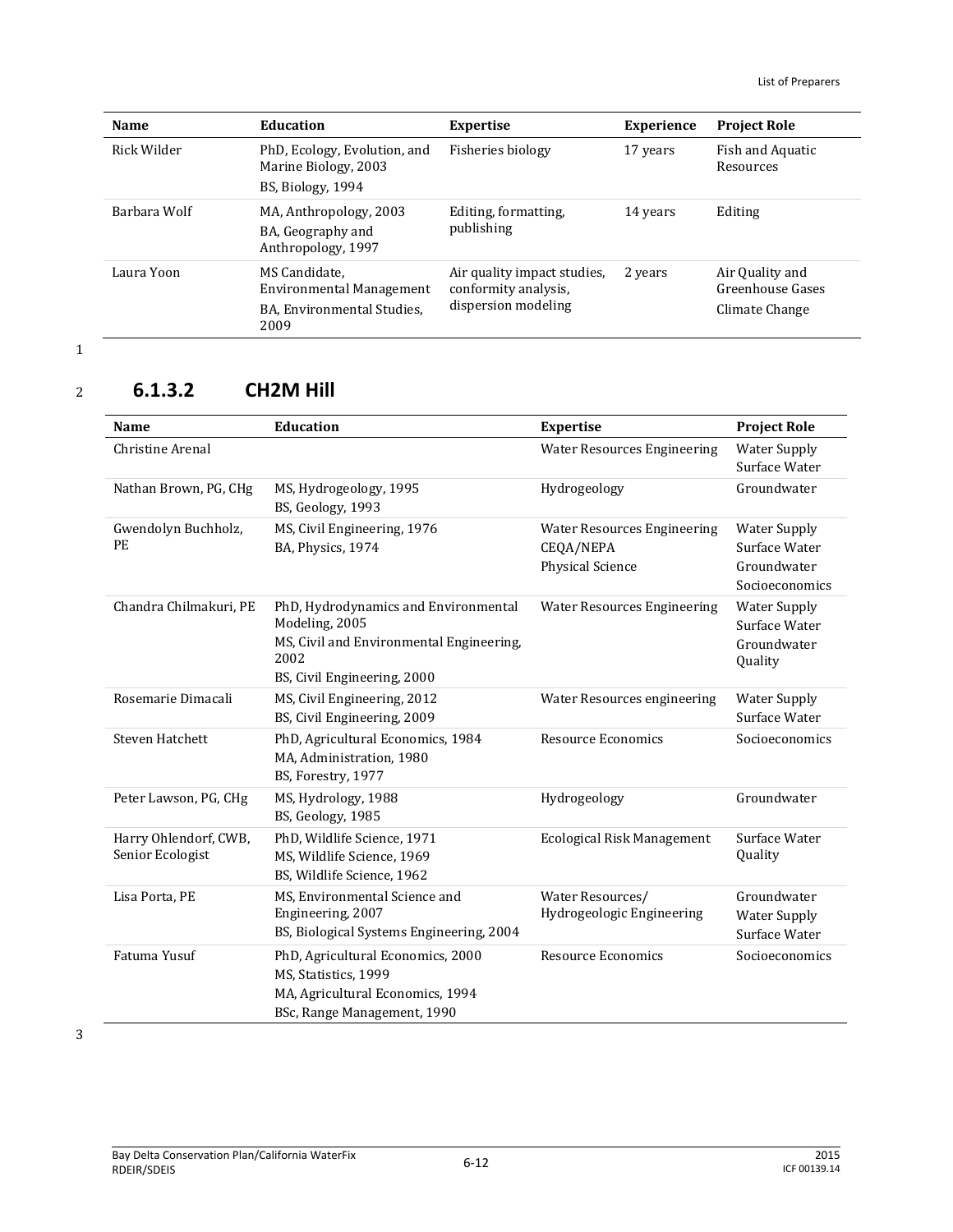| <b>Name</b>  | Education                                                                       | <b>Expertise</b>                                                           | <b>Experience</b> | <b>Project Role</b>                                   |
|--------------|---------------------------------------------------------------------------------|----------------------------------------------------------------------------|-------------------|-------------------------------------------------------|
| Rick Wilder  | PhD, Ecology, Evolution, and<br>Marine Biology, 2003<br>BS, Biology, 1994       | Fisheries biology                                                          | 17 years          | Fish and Aquatic<br>Resources                         |
| Barbara Wolf | MA, Anthropology, 2003<br>BA, Geography and<br>Anthropology, 1997               | Editing, formatting,<br>publishing                                         | 14 years          | Editing                                               |
| Laura Yoon   | MS Candidate.<br>Environmental Management<br>BA, Environmental Studies,<br>2009 | Air quality impact studies,<br>conformity analysis,<br>dispersion modeling | 2 years           | Air Quality and<br>Greenhouse Gases<br>Climate Change |

# <sup>2</sup> **6.1.3.2 CH2M Hill**

| <b>Name</b>                               | Education                                                                                                                                 | <b>Expertise</b>                                                    | <b>Project Role</b>                                                   |
|-------------------------------------------|-------------------------------------------------------------------------------------------------------------------------------------------|---------------------------------------------------------------------|-----------------------------------------------------------------------|
| Christine Arenal                          |                                                                                                                                           | <b>Water Resources Engineering</b>                                  | <b>Water Supply</b><br>Surface Water                                  |
| Nathan Brown, PG, CHg                     | MS, Hydrogeology, 1995<br>BS, Geology, 1993                                                                                               | Hydrogeology                                                        | Groundwater                                                           |
| Gwendolyn Buchholz,<br>PE                 | MS, Civil Engineering, 1976<br>BA, Physics, 1974                                                                                          | <b>Water Resources Engineering</b><br>CEQA/NEPA<br>Physical Science | <b>Water Supply</b><br>Surface Water<br>Groundwater<br>Socioeconomics |
| Chandra Chilmakuri, PE                    | PhD, Hydrodynamics and Environmental<br>Modeling, 2005<br>MS, Civil and Environmental Engineering,<br>2002<br>BS, Civil Engineering, 2000 | <b>Water Resources Engineering</b>                                  | <b>Water Supply</b><br>Surface Water<br>Groundwater<br>Quality        |
| Rosemarie Dimacali                        | MS, Civil Engineering, 2012<br>BS, Civil Engineering, 2009                                                                                | Water Resources engineering                                         | <b>Water Supply</b><br>Surface Water                                  |
| <b>Steven Hatchett</b>                    | PhD, Agricultural Economics, 1984<br>MA, Administration, 1980<br>BS, Forestry, 1977                                                       | <b>Resource Economics</b>                                           | Socioeconomics                                                        |
| Peter Lawson, PG, CHg                     | MS, Hydrology, 1988<br>BS, Geology, 1985                                                                                                  | Hydrogeology                                                        | Groundwater                                                           |
| Harry Ohlendorf, CWB,<br>Senior Ecologist | PhD, Wildlife Science, 1971<br>MS, Wildlife Science, 1969<br>BS, Wildlife Science, 1962                                                   | <b>Ecological Risk Management</b>                                   | Surface Water<br>Quality                                              |
| Lisa Porta, PE                            | MS, Environmental Science and<br>Engineering, 2007<br>BS, Biological Systems Engineering, 2004                                            | Water Resources/<br>Hydrogeologic Engineering                       | Groundwater<br><b>Water Supply</b><br>Surface Water                   |
| Fatuma Yusuf                              | PhD, Agricultural Economics, 2000<br>MS, Statistics, 1999<br>MA, Agricultural Economics, 1994<br>BSc, Range Management, 1990              | <b>Resource Economics</b>                                           | Socioeconomics                                                        |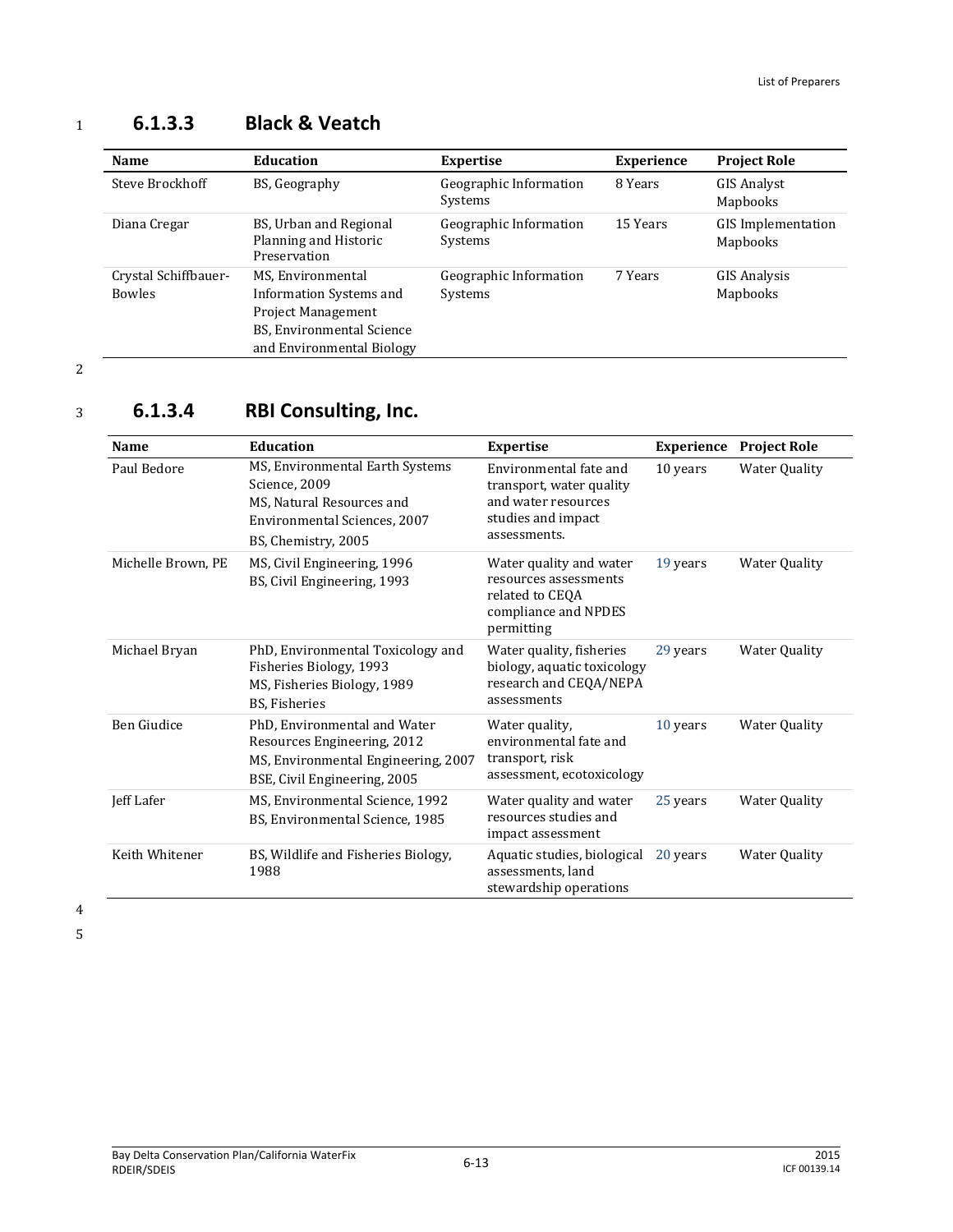## <sup>1</sup> **6.1.3.3 Black & Veatch**

| <b>Name</b>                           | <b>Education</b>                                                                                                                    | <b>Expertise</b>                  | <b>Experience</b> | <b>Project Role</b>                   |
|---------------------------------------|-------------------------------------------------------------------------------------------------------------------------------------|-----------------------------------|-------------------|---------------------------------------|
| Steve Brockhoff                       | BS, Geography                                                                                                                       | Geographic Information<br>Systems | 8 Years           | <b>GIS Analyst</b><br>Mapbooks        |
| Diana Cregar                          | BS, Urban and Regional<br>Planning and Historic<br>Preservation                                                                     | Geographic Information<br>Systems | 15 Years          | <b>GIS</b> Implementation<br>Mapbooks |
| Crystal Schiffbauer-<br><b>Bowles</b> | MS, Environmental<br>Information Systems and<br><b>Project Management</b><br>BS, Environmental Science<br>and Environmental Biology | Geographic Information<br>Systems | 7 Years           | GIS Analysis<br>Mapbooks              |

2

# <sup>3</sup> **6.1.3.4 RBI Consulting, Inc.**

| Name               | <b>Education</b>                                                                                                                     | <b>Expertise</b>                                                                                                | <b>Experience</b> | <b>Project Role</b>  |
|--------------------|--------------------------------------------------------------------------------------------------------------------------------------|-----------------------------------------------------------------------------------------------------------------|-------------------|----------------------|
| Paul Bedore        | MS, Environmental Earth Systems<br>Science, 2009<br>MS, Natural Resources and<br>Environmental Sciences, 2007<br>BS, Chemistry, 2005 | Environmental fate and<br>transport, water quality<br>and water resources<br>studies and impact<br>assessments. | 10 years          | <b>Water Quality</b> |
| Michelle Brown, PE | MS, Civil Engineering, 1996<br>BS, Civil Engineering, 1993                                                                           | Water quality and water<br>resources assessments<br>related to CEQA<br>compliance and NPDES<br>permitting       | 19 years          | <b>Water Quality</b> |
| Michael Bryan      | PhD, Environmental Toxicology and<br>Fisheries Biology, 1993<br>MS, Fisheries Biology, 1989<br>BS, Fisheries                         | Water quality, fisheries<br>biology, aquatic toxicology<br>research and CEQA/NEPA<br>assessments                | 29 years          | <b>Water Quality</b> |
| Ben Giudice        | PhD, Environmental and Water<br>Resources Engineering, 2012<br>MS, Environmental Engineering, 2007<br>BSE, Civil Engineering, 2005   | Water quality,<br>environmental fate and<br>transport, risk<br>assessment, ecotoxicology                        | 10 years          | <b>Water Quality</b> |
| Jeff Lafer         | MS, Environmental Science, 1992<br>BS, Environmental Science, 1985                                                                   | Water quality and water<br>resources studies and<br>impact assessment                                           | 25 years          | <b>Water Quality</b> |
| Keith Whitener     | BS, Wildlife and Fisheries Biology,<br>1988                                                                                          | Aquatic studies, biological<br>assessments, land<br>stewardship operations                                      | 20 years          | Water Quality        |

4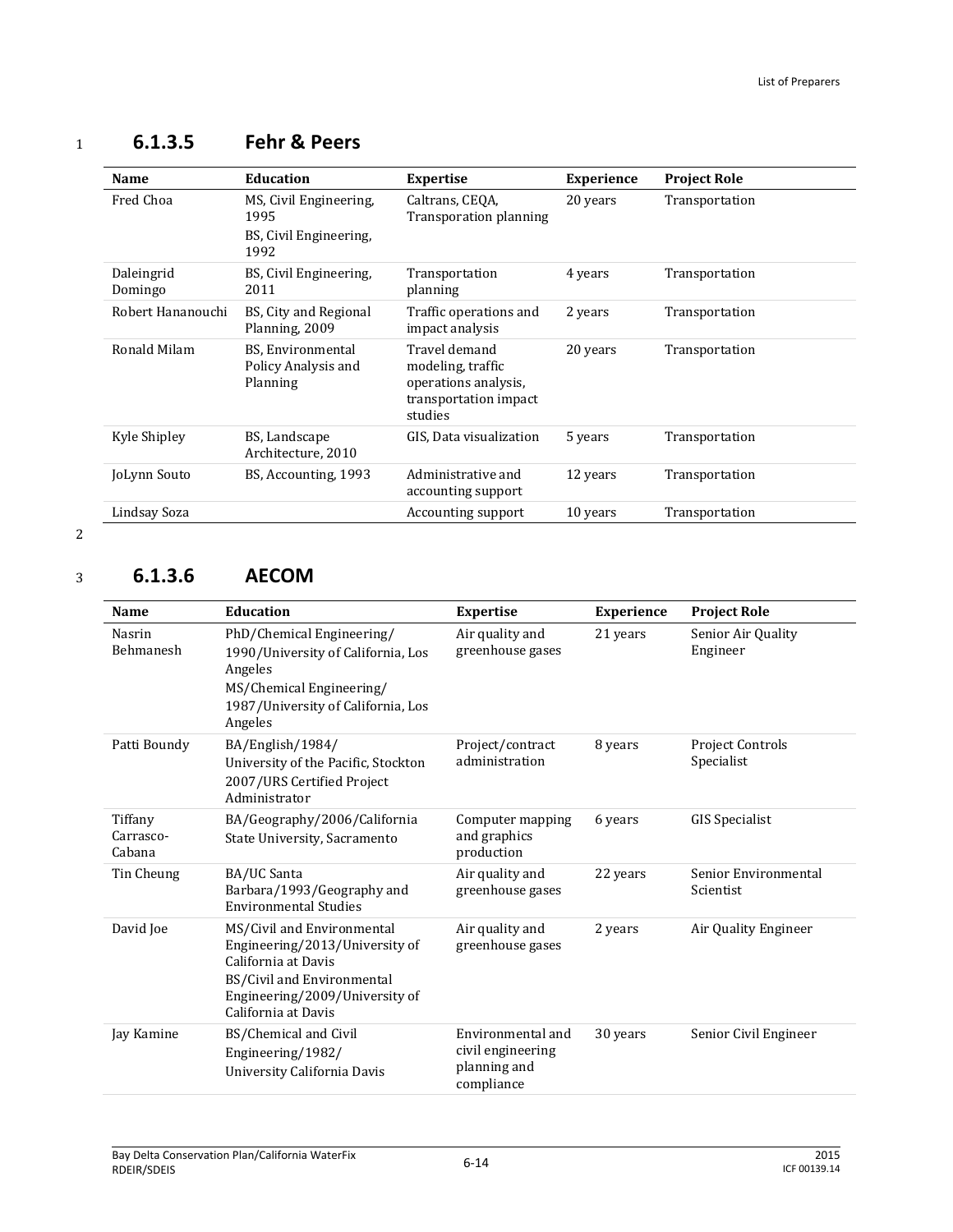| Name                  | <b>Education</b>                                                 | <b>Expertise</b>                                                                               | <b>Experience</b> | <b>Project Role</b> |
|-----------------------|------------------------------------------------------------------|------------------------------------------------------------------------------------------------|-------------------|---------------------|
| Fred Choa             | MS, Civil Engineering,<br>1995<br>BS, Civil Engineering,<br>1992 | Caltrans, CEQA,<br><b>Transporation planning</b>                                               | 20 years          | Transportation      |
| Daleingrid<br>Domingo | BS, Civil Engineering,<br>2011                                   | Transportation<br>planning                                                                     | 4 years           | Transportation      |
| Robert Hananouchi     | BS, City and Regional<br>Planning, 2009                          | Traffic operations and<br>impact analysis                                                      | 2 years           | Transportation      |
| Ronald Milam          | BS, Environmental<br>Policy Analysis and<br>Planning             | Travel demand<br>modeling, traffic<br>operations analysis,<br>transportation impact<br>studies | 20 years          | Transportation      |
| Kyle Shipley          | BS, Landscape<br>Architecture, 2010                              | GIS, Data visualization                                                                        | 5 years           | Transportation      |
| JoLynn Souto          | BS, Accounting, 1993                                             | Administrative and<br>accounting support                                                       | 12 years          | Transportation      |
| Lindsay Soza          |                                                                  | Accounting support                                                                             | 10 years          | Transportation      |

# <sup>1</sup> **6.1.3.5 Fehr & Peers**

2

## <sup>3</sup> **6.1.3.6 AECOM**

| Name                           | Education                                                                                                                                                                  | <b>Expertise</b>                                                     | <b>Experience</b> | <b>Project Role</b>                   |
|--------------------------------|----------------------------------------------------------------------------------------------------------------------------------------------------------------------------|----------------------------------------------------------------------|-------------------|---------------------------------------|
| Nasrin<br><b>Behmanesh</b>     | PhD/Chemical Engineering/<br>1990/University of California, Los<br>Angeles<br>MS/Chemical Engineering/<br>1987/University of California, Los<br>Angeles                    | Air quality and<br>greenhouse gases                                  | 21 years          | Senior Air Quality<br>Engineer        |
| Patti Boundy                   | BA/English/1984/<br>University of the Pacific, Stockton<br>2007/URS Certified Project<br>Administrator                                                                     | Project/contract<br>administration                                   | 8 years           | <b>Project Controls</b><br>Specialist |
| Tiffany<br>Carrasco-<br>Cabana | BA/Geography/2006/California<br>State University, Sacramento                                                                                                               | Computer mapping<br>and graphics<br>production                       | 6 years           | <b>GIS Specialist</b>                 |
| Tin Cheung                     | BA/UC Santa<br>Barbara/1993/Geography and<br><b>Environmental Studies</b>                                                                                                  | Air quality and<br>greenhouse gases                                  | 22 years          | Senior Environmental<br>Scientist     |
| David Joe                      | MS/Civil and Environmental<br>Engineering/2013/University of<br>California at Davis<br>BS/Civil and Environmental<br>Engineering/2009/University of<br>California at Davis | Air quality and<br>greenhouse gases                                  | 2 years           | Air Quality Engineer                  |
| Jay Kamine                     | BS/Chemical and Civil<br>Engineering/1982/<br>University California Davis                                                                                                  | Environmental and<br>civil engineering<br>planning and<br>compliance | 30 years          | Senior Civil Engineer                 |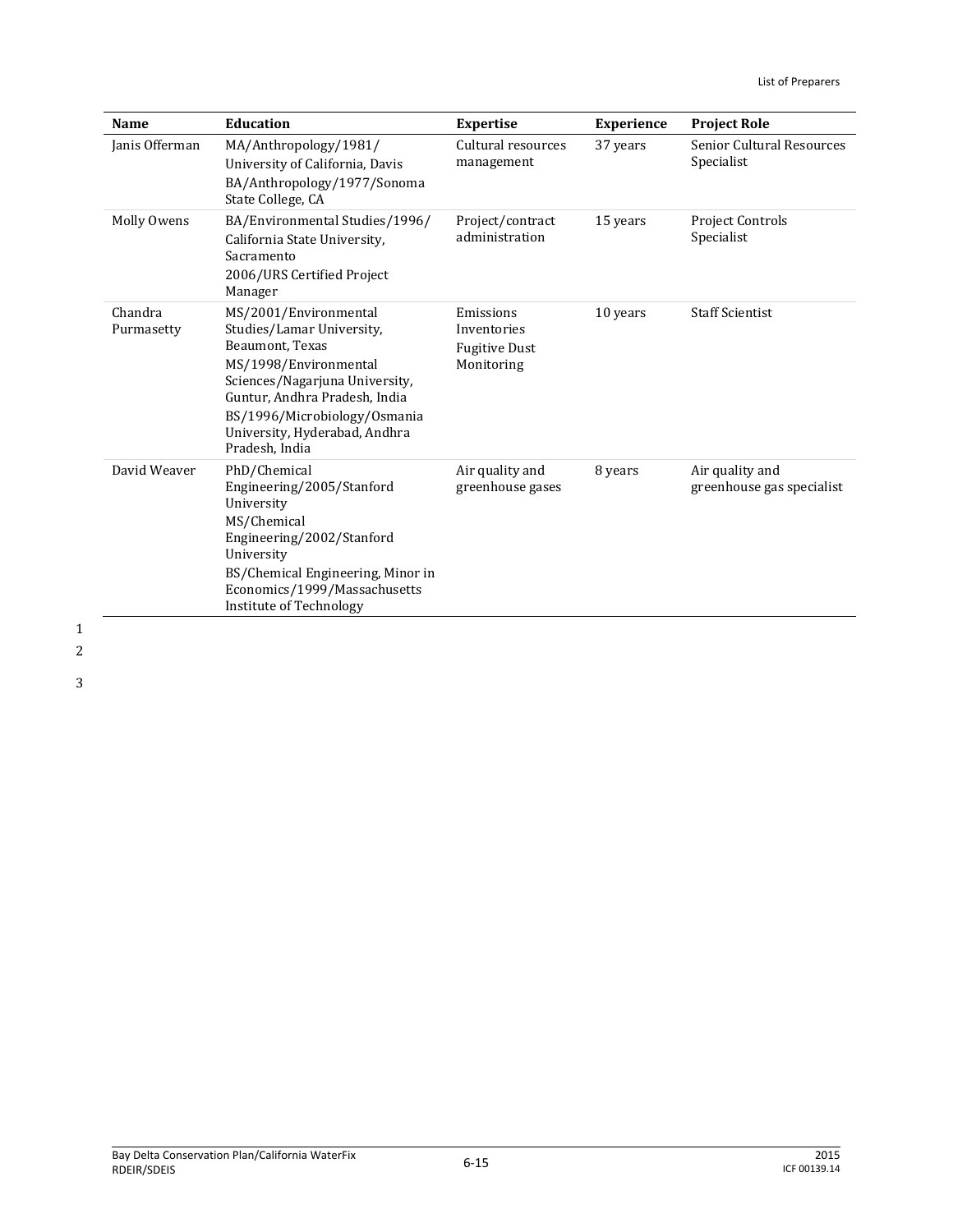| Name                  | <b>Education</b>                                                                                                                                                                                                                                     | <b>Expertise</b>                                               | <b>Experience</b> | <b>Project Role</b>                            |
|-----------------------|------------------------------------------------------------------------------------------------------------------------------------------------------------------------------------------------------------------------------------------------------|----------------------------------------------------------------|-------------------|------------------------------------------------|
| Janis Offerman        | MA/Anthropology/1981/<br>University of California, Davis<br>BA/Anthropology/1977/Sonoma<br>State College, CA                                                                                                                                         | Cultural resources<br>management                               | 37 years          | <b>Senior Cultural Resources</b><br>Specialist |
| Molly Owens           | BA/Environmental Studies/1996/<br>California State University,<br>Sacramento<br>2006/URS Certified Project<br>Manager                                                                                                                                | Project/contract<br>administration                             | 15 years          | Project Controls<br>Specialist                 |
| Chandra<br>Purmasetty | MS/2001/Environmental<br>Studies/Lamar University,<br>Beaumont. Texas<br>MS/1998/Environmental<br>Sciences/Nagarjuna University,<br>Guntur, Andhra Pradesh, India<br>BS/1996/Microbiology/Osmania<br>University, Hyderabad, Andhra<br>Pradesh, India | Emissions<br>Inventories<br><b>Fugitive Dust</b><br>Monitoring | 10 years          | <b>Staff Scientist</b>                         |
| David Weaver          | PhD/Chemical<br>Engineering/2005/Stanford<br>University<br>MS/Chemical<br>Engineering/2002/Stanford<br>University<br>BS/Chemical Engineering, Minor in<br>Economics/1999/Massachusetts<br>Institute of Technology                                    | Air quality and<br>greenhouse gases                            | 8 years           | Air quality and<br>greenhouse gas specialist   |

2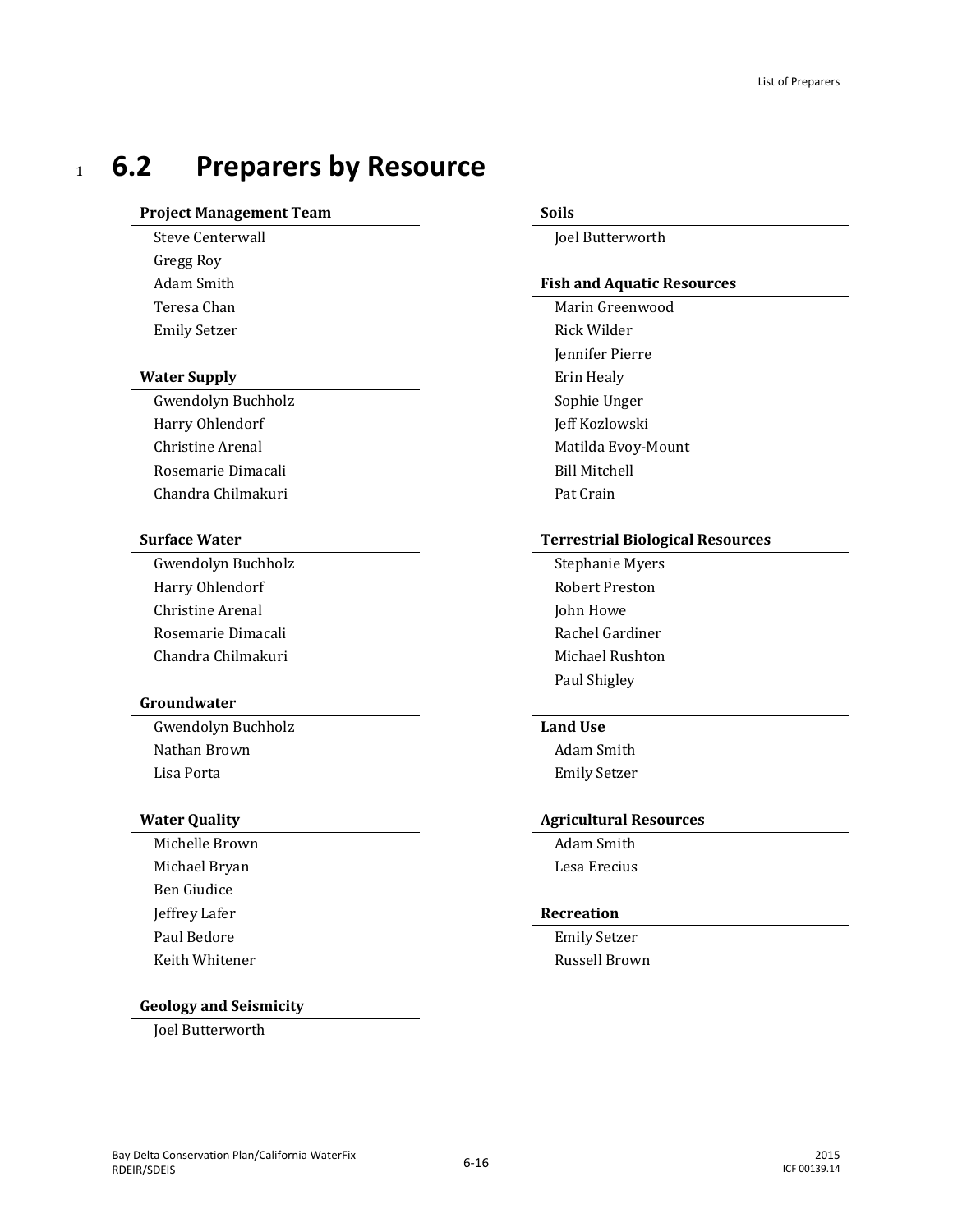# <sup>1</sup> **6.2 Preparers by Resource**

### **Project Management Team Soils**

Gregg Roy

### **Water Supply** Erin Healy

Gwendolyn Buchholz Sophie Unger Harry Ohlendorf **Internal Community** Ieff Kozlowski Christine Arenal **Matilda Evoy-Mount** Matilda Evoy-Mount Rosemarie Dimacali and a state of the Bill Mitchell Chandra Chilmakuri **Pat Crain** 

Gwendolyn Buchholz **Stephanie Myers** Stephanie Myers Harry Ohlendorf **Robert Preston** Christine Arenal John Howe Rosemarie Dimacali **Rachel Gardiner** Rachel Gardiner Chandra Chilmakuri Michael Rushton

### **Groundwater**

Gwendolyn Buchholz **Land Use** Nathan Brown **Adam Smith** Lisa Porta Emily Setzer

Michelle Brown and the South Adam Smith Michael Bryan **Lesa Executed Executes** Lesa Erecius Ben Giudice Jeffrey Lafer **Recreation** Paul Bedore **Emily Setzer** Keith Whitener **Russell Brown** 

### **Geology and Seismicity**

Joel Butterworth

Steve Centerwall **Steve Centerwall** 

### Adam Smith **Fish and Aquatic Resources**

Teresa Chan Marin Greenwood Emily Setzer Rick Wilder Jennifer Pierre

### **Surface Water Terrestrial Biological Resources**

Paul Shigley

### **Water Quality Agricultural Resources**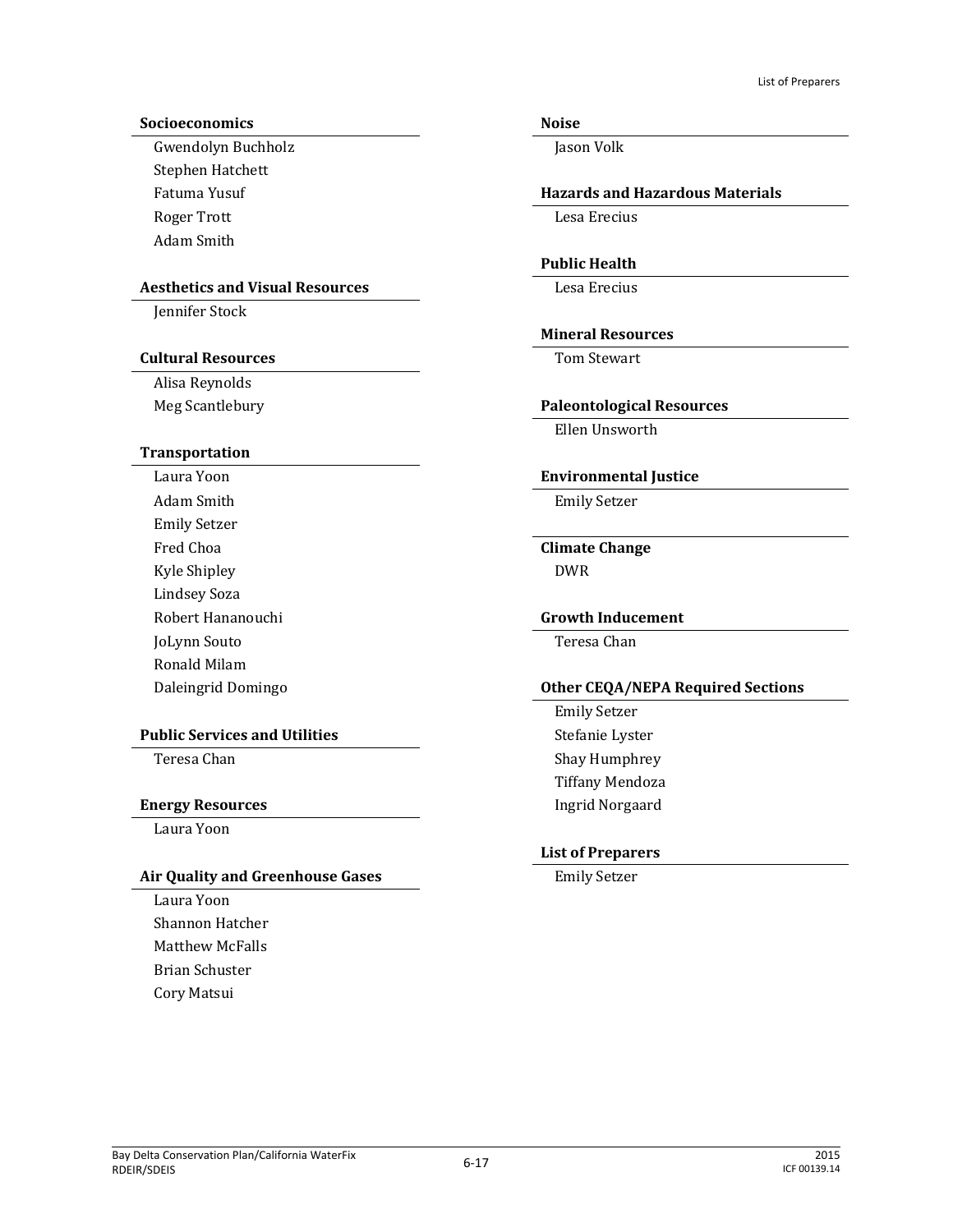### **Socioeconomics Noise**

Gwendolyn Buchholz **Jason Volk** Stephen Hatchett Roger Trott Lesa Erecius Adam Smith

### Aesthetics and Visual Resources<br>
Lesa Erecius

Jennifer Stock

### **Cultural Resources** Tom Stewart

Alisa Reynolds

### **Transportation**

Adam Smith **Emily Setzer** Emily Setzer Fred Choa **Climate Change** Kyle Shipley **DWR** Lindsey Soza Robert Hananouchi **Growth Inducement** JoLynn Souto Teresa Chan Ronald Milam

### **Public Services and Utilities** Stefanie Lyster

### **Energy Resources Ingrid Norgaard**

Laura Yoon

### Air Quality and Greenhouse Gases **Emily Setzer** Emily Setzer

Laura Yoon Shannon Hatcher Matthew McFalls Brian Schuster Cory Matsui

### Fatuma Yusuf **Hazards and Hazardous Materials**

### **Public Health**

### **Mineral Resources**

### Meg Scantlebury **Paleontological Resources**

Ellen Unsworth

### Laura Yoon **Environmental Justice**

### Daleingrid Domingo **Other CEQA/NEPA Required Sections**

Emily Setzer Teresa Chan Shay Humphrey Tiffany Mendoza

### **List of Preparers**